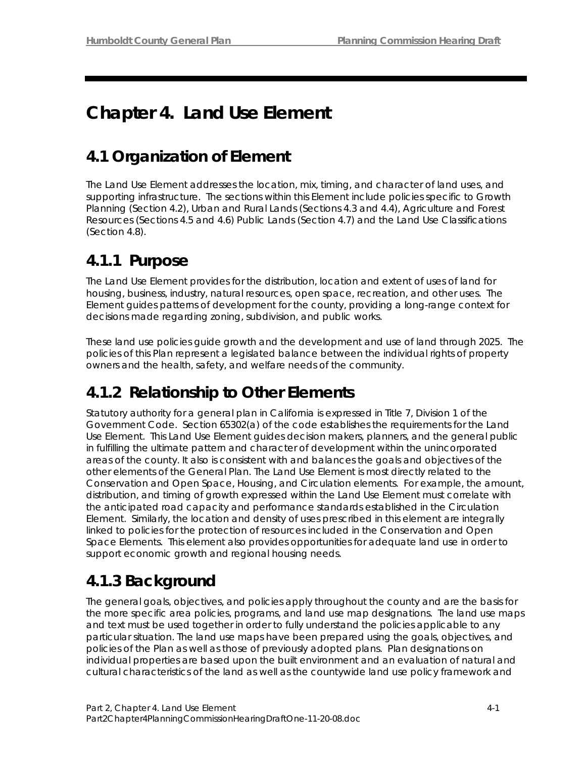# **Chapter 4. Land Use Element**

# **4.1 Organization of Element**

The Land Use Element addresses the location, mix, timing, and character of land uses, and supporting infrastructure. The sections within this Element include policies specific to Growth Planning (Section 4.2), Urban and Rural Lands (Sections 4.3 and 4.4), Agriculture and Forest Resources (Sections 4.5 and 4.6) Public Lands (Section 4.7) and the Land Use Classifications (Section 4.8).

## **4.1.1 Purpose**

The Land Use Element provides for the distribution, location and extent of uses of land for housing, business, industry, natural resources, open space, recreation, and other uses. The Element guides patterns of development for the county, providing a long-range context for decisions made regarding zoning, subdivision, and public works.

These land use policies guide growth and the development and use of land through 2025. The policies of this Plan represent a legislated balance between the individual rights of property owners and the health, safety, and welfare needs of the community.

## **4.1.2 Relationship to Other Elements**

Statutory authority for a general plan in California is expressed in Title 7, Division 1 of the Government Code. Section 65302(a) of the code establishes the requirements for the Land Use Element. This Land Use Element guides decision makers, planners, and the general public in fulfilling the ultimate pattern and character of development within the unincorporated areas of the county. It also is consistent with and balances the goals and objectives of the other elements of the General Plan. The Land Use Element is most directly related to the Conservation and Open Space, Housing, and Circulation elements. For example, the amount, distribution, and timing of growth expressed within the Land Use Element must correlate with the anticipated road capacity and performance standards established in the Circulation Element. Similarly, the location and density of uses prescribed in this element are integrally linked to policies for the protection of resources included in the Conservation and Open Space Elements. This element also provides opportunities for adequate land use in order to support economic growth and regional housing needs.

# **4.1.3 Background**

The general goals, objectives, and policies apply throughout the county and are the basis for the more specific area policies, programs, and land use map designations. The land use maps and text must be used together in order to fully understand the policies applicable to any particular situation. The land use maps have been prepared using the goals, objectives, and policies of the Plan as well as those of previously adopted plans. Plan designations on individual properties are based upon the built environment and an evaluation of natural and cultural characteristics of the land as well as the countywide land use policy framework and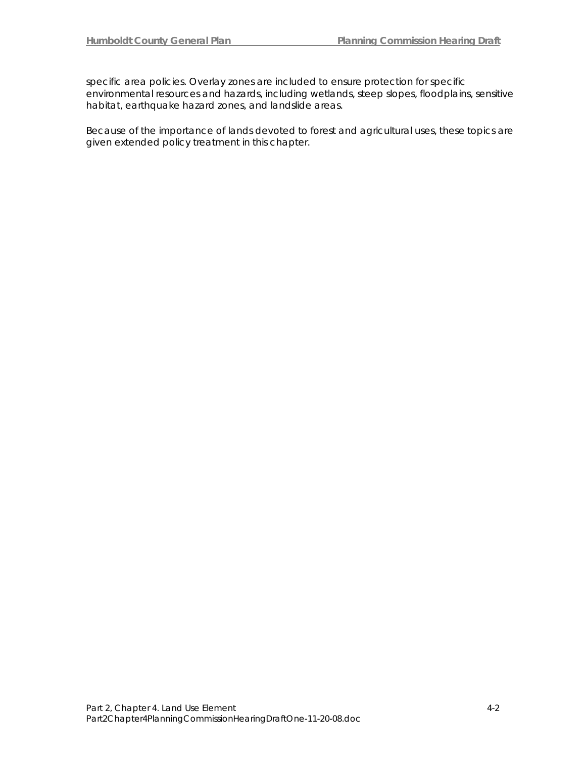specific area policies. Overlay zones are included to ensure protection for specific environmental resources and hazards, including wetlands, steep slopes, floodplains, sensitive habitat, earthquake hazard zones, and landslide areas.

Because of the importance of lands devoted to forest and agricultural uses, these topics are given extended policy treatment in this chapter.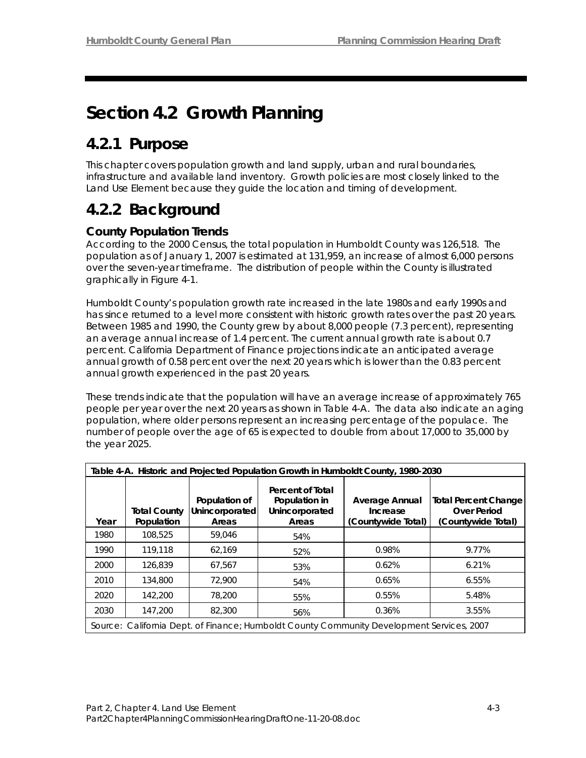# **Section 4.2 Growth Planning**

## **4.2.1 Purpose**

This chapter covers population growth and land supply, urban and rural boundaries, infrastructure and available land inventory. Growth policies are most closely linked to the Land Use Element because they guide the location and timing of development.

# **4.2.2 Background**

## **County Population Trends**

According to the 2000 Census, the total population in Humboldt County was 126,518. The population as of January 1, 2007 is estimated at 131,959, an increase of almost 6,000 persons over the seven-year timeframe. The distribution of people within the County is illustrated graphically in Figure 4-1.

Humboldt County's population growth rate increased in the late 1980s and early 1990s and has since returned to a level more consistent with historic growth rates over the past 20 years. Between 1985 and 1990, the County grew by about 8,000 people (7.3 percent), representing an average annual increase of 1.4 percent. The current annual growth rate is about 0.7 percent. California Department of Finance projections indicate an anticipated average annual growth of 0.58 percent over the next 20 years which is lower than the 0.83 percent annual growth experienced in the past 20 years.

These trends indicate that the population will have an average increase of approximately 765 people per year over the next 20 years as shown in Table 4-A. The data also indicate an aging population, where older persons represent an increasing percentage of the populace. The number of people over the age of 65 is expected to double from about 17,000 to 35,000 by the year 2025.

|      | Table 4-A. Historic and Projected Population Growth in Humboldt County, 1980-2030 |                                          |                                                              |                                                                                           |                                                                         |  |  |
|------|-----------------------------------------------------------------------------------|------------------------------------------|--------------------------------------------------------------|-------------------------------------------------------------------------------------------|-------------------------------------------------------------------------|--|--|
| Year | <b>Total County</b><br>Population                                                 | Population of<br>Unincorporated<br>Areas | Percent of Total<br>Population in<br>Unincorporated<br>Areas | <b>Average Annual</b><br>Increase<br>(Countywide Total)                                   | <b>Total Percent Change</b><br><b>Over Period</b><br>(Countywide Total) |  |  |
| 1980 | 108,525                                                                           | 59,046                                   | 54%                                                          |                                                                                           |                                                                         |  |  |
| 1990 | 119,118                                                                           | 62.169                                   | 52%                                                          | 0.98%                                                                                     | 9.77%                                                                   |  |  |
| 2000 | 126.839                                                                           | 67.567                                   | 53%                                                          | 0.62%                                                                                     | 6.21%                                                                   |  |  |
| 2010 | 134,800                                                                           | 72,900                                   | 54%                                                          | 0.65%                                                                                     | 6.55%                                                                   |  |  |
| 2020 | 142.200                                                                           | 78,200                                   | 55%                                                          | 0.55%                                                                                     | 5.48%                                                                   |  |  |
| 2030 | 147,200                                                                           | 82,300                                   | 56%                                                          | 0.36%                                                                                     | 3.55%                                                                   |  |  |
|      |                                                                                   |                                          |                                                              | Source: California Dept. of Finance; Humboldt County Community Development Services, 2007 |                                                                         |  |  |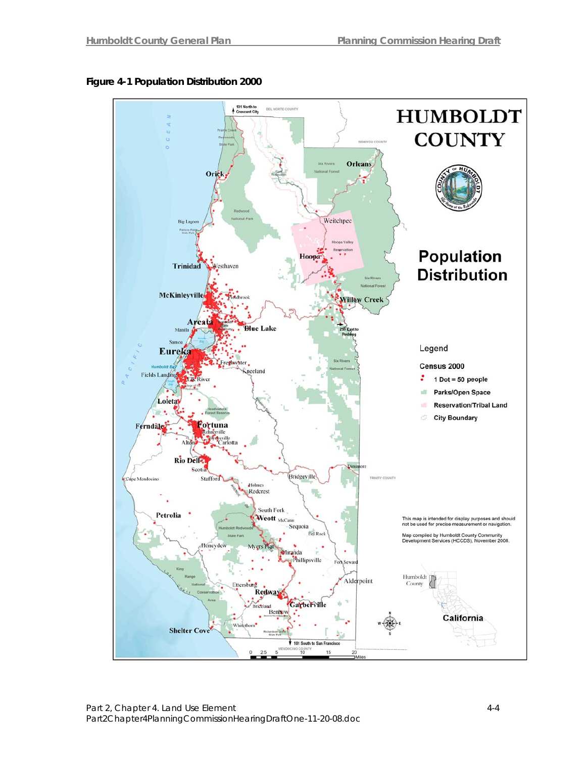

## **Figure 4-1 Population Distribution 2000**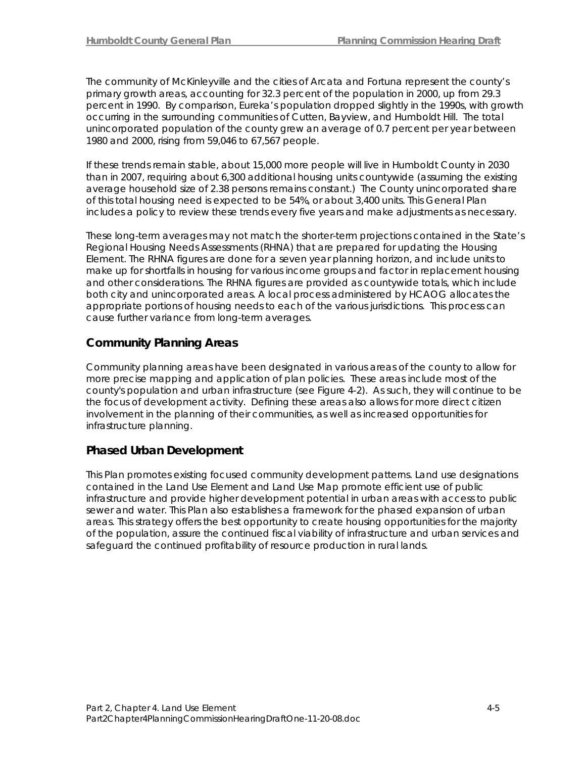The community of McKinleyville and the cities of Arcata and Fortuna represent the county's primary growth areas, accounting for 32.3 percent of the population in 2000, up from 29.3 percent in 1990. By comparison, Eureka's population dropped slightly in the 1990s, with growth occurring in the surrounding communities of Cutten, Bayview, and Humboldt Hill. The total unincorporated population of the county grew an average of 0.7 percent per year between 1980 and 2000, rising from 59,046 to 67,567 people.

If these trends remain stable, about 15,000 more people will live in Humboldt County in 2030 than in 2007, requiring about 6,300 additional housing units countywide (assuming the existing average household size of 2.38 persons remains constant.) The County unincorporated share of this total housing need is expected to be 54%, or about 3,400 units. This General Plan includes a policy to review these trends every five years and make adjustments as necessary.

These long-term averages may not match the shorter-term projections contained in the State's Regional Housing Needs Assessments (RHNA) that are prepared for updating the Housing Element. The RHNA figures are done for a seven year planning horizon, and include units to make up for shortfalls in housing for various income groups and factor in replacement housing and other considerations. The RHNA figures are provided as countywide totals, which include both city and unincorporated areas. A local process administered by HCAOG allocates the appropriate portions of housing needs to each of the various jurisdictions. This process can cause further variance from long-term averages.

## **Community Planning Areas**

Community planning areas have been designated in various areas of the county to allow for more precise mapping and application of plan policies. These areas include most of the county's population and urban infrastructure (see Figure 4-2). As such, they will continue to be the focus of development activity. Defining these areas also allows for more direct citizen involvement in the planning of their communities, as well as increased opportunities for infrastructure planning.

## **Phased Urban Development**

This Plan promotes existing focused community development patterns. Land use designations contained in the Land Use Element and Land Use Map promote efficient use of public infrastructure and provide higher development potential in urban areas with access to public sewer and water. This Plan also establishes a framework for the phased expansion of urban areas. This strategy offers the best opportunity to create housing opportunities for the majority of the population, assure the continued fiscal viability of infrastructure and urban services and safeguard the continued profitability of resource production in rural lands.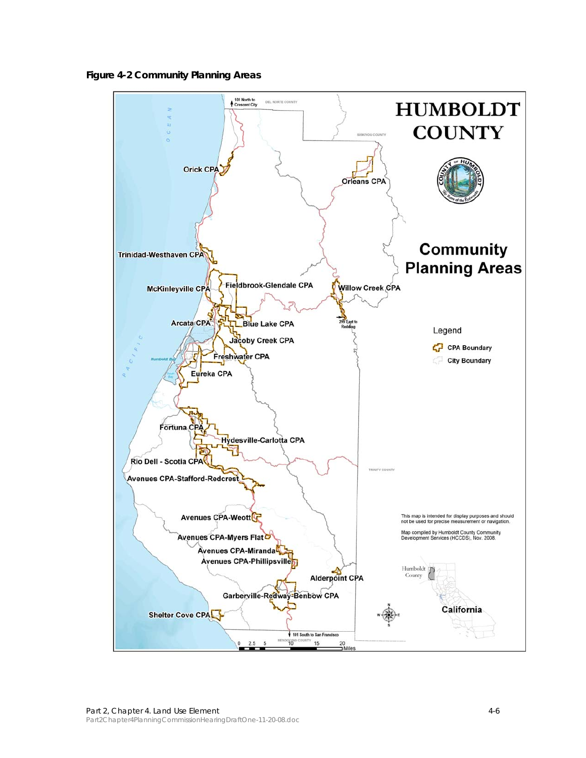**Figure 4-2 Community Planning Areas** 

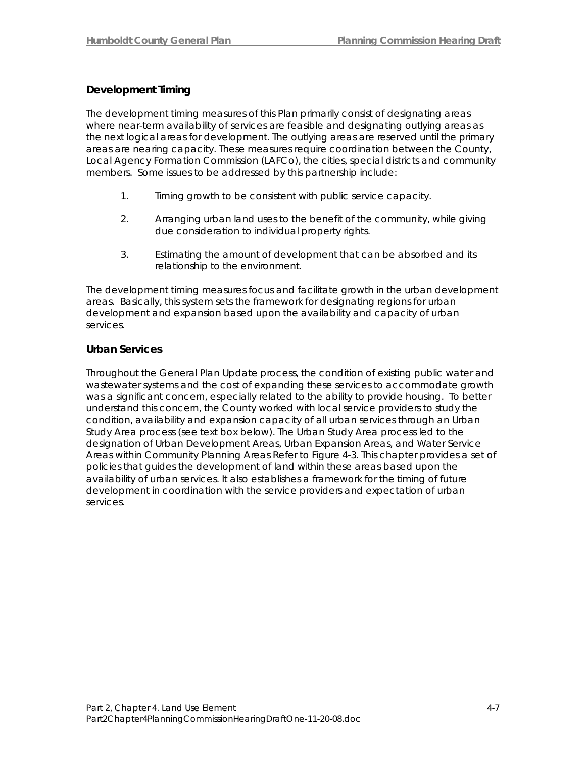## **Development Timing**

The development timing measures of this Plan primarily consist of designating areas where near-term availability of services are feasible and designating outlying areas as the next logical areas for development. The outlying areas are reserved until the primary areas are nearing capacity. These measures require coordination between the County, Local Agency Formation Commission (LAFCo), the cities, special districts and community members. Some issues to be addressed by this partnership include:

- 1. Timing growth to be consistent with public service capacity.
- 2. Arranging urban land uses to the benefit of the community, while giving due consideration to individual property rights.
- 3. Estimating the amount of development that can be absorbed and its relationship to the environment.

The development timing measures focus and facilitate growth in the urban development areas. Basically, this system sets the framework for designating regions for urban development and expansion based upon the availability and capacity of urban services.

## **Urban Services**

Throughout the General Plan Update process, the condition of existing public water and wastewater systems and the cost of expanding these services to accommodate growth was a significant concern, especially related to the ability to provide housing. To better understand this concern, the County worked with local service providers to study the condition, availability and expansion capacity of all urban services through an Urban Study Area process (see text box below). The Urban Study Area process led to the designation of Urban Development Areas, Urban Expansion Areas, and Water Service Areas within Community Planning Areas Refer to Figure 4-3. This chapter provides a set of policies that guides the development of land within these areas based upon the availability of urban services. It also establishes a framework for the timing of future development in coordination with the service providers and expectation of urban services.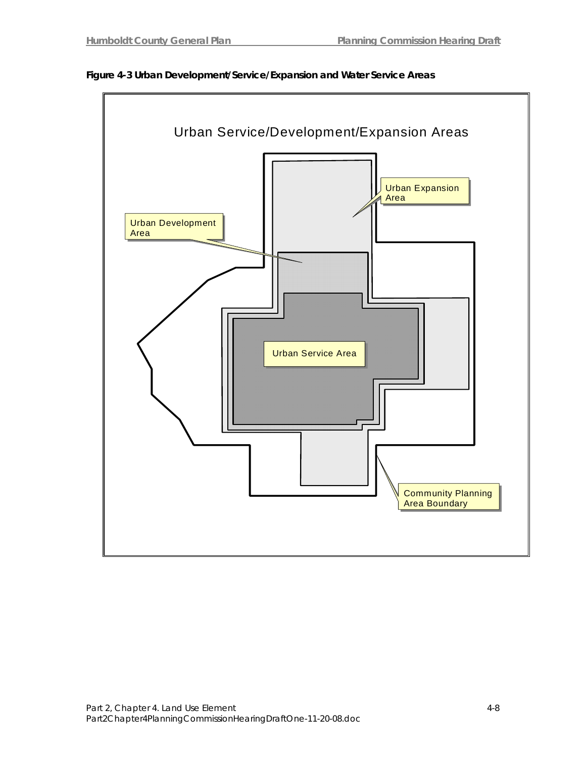

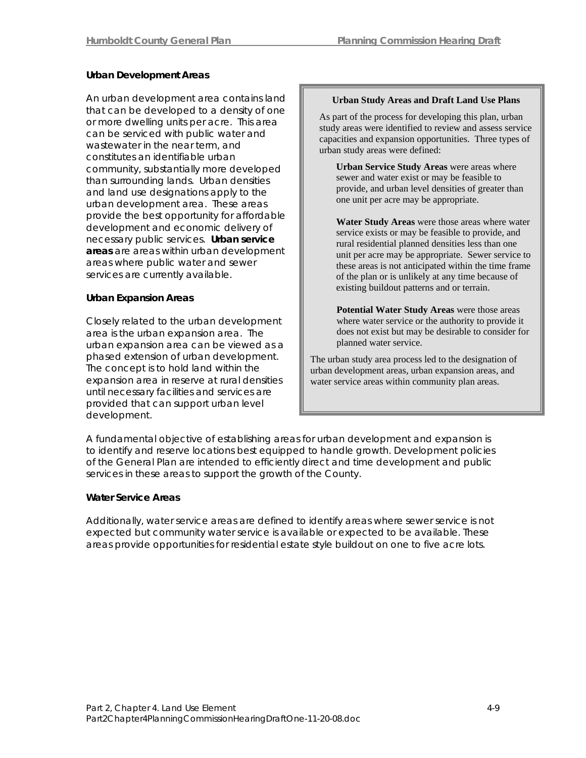### **Urban Development Areas**

An urban development area contains land that can be developed to a density of one or more dwelling units per acre. This area can be serviced with public water and wastewater in the near term, and constitutes an identifiable urban community, substantially more developed than surrounding lands. Urban densities and land use designations apply to the urban development area. These areas provide the best opportunity for affordable development and economic delivery of necessary public services. **Urban service areas** are areas within urban development areas where public water and sewer services are currently available.

### **Urban Expansion Areas**

Closely related to the urban development area is the urban expansion area. The urban expansion area can be viewed as a phased extension of urban development. The concept is to hold land within the expansion area in reserve at rural densities until necessary facilities and services are provided that can support urban level development.

#### **Urban Study Areas and Draft Land Use Plans**

As part of the process for developing this plan, urban study areas were identified to review and assess service capacities and expansion opportunities. Three types of urban study areas were defined:

**Urban Service Study Areas** were areas where sewer and water exist or may be feasible to provide, and urban level densities of greater than one unit per acre may be appropriate.

**Water Study Areas** were those areas where water service exists or may be feasible to provide, and rural residential planned densities less than one unit per acre may be appropriate. Sewer service to these areas is not anticipated within the time frame of the plan or is unlikely at any time because of existing buildout patterns and or terrain.

**Potential Water Study Areas** were those areas where water service or the authority to provide it does not exist but may be desirable to consider for planned water service.

The urban study area process led to the designation of urban development areas, urban expansion areas, and water service areas within community plan areas.

A fundamental objective of establishing areas for urban development and expansion is to identify and reserve locations best equipped to handle growth. Development policies of the General Plan are intended to efficiently direct and time development and public services in these areas to support the growth of the County.

### **Water Service Areas**

Additionally, water service areas are defined to identify areas where sewer service is not expected but community water service is available or expected to be available. These areas provide opportunities for residential estate style buildout on one to five acre lots.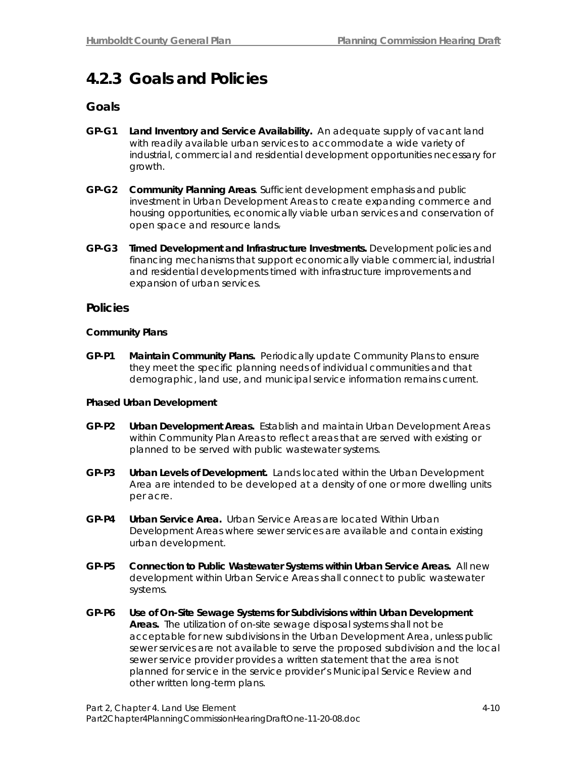## **4.2.3 Goals and Policies**

## **Goals**

- **GP-G1 Land Inventory and Service Availability.** An adequate supply of vacant land with readily available urban services to accommodate a wide variety of industrial, commercial and residential development opportunities necessary for growth.
- **GP-G2 Community Planning Areas**. Sufficient development emphasis and public investment in Urban Development Areas to create expanding commerce and housing opportunities, economically viable urban services and conservation of open space and resource lands.
- **GP-G3 Timed Development and Infrastructure Investments.** Development policies and financing mechanisms that support economically viable commercial, industrial and residential developments timed with infrastructure improvements and expansion of urban services.

## **Policies**

### **Community Plans**

**GP-P1 Maintain Community Plans.** Periodically update Community Plans to ensure they meet the specific planning needs of individual communities and that demographic, land use, and municipal service information remains current.

#### **Phased Urban Development**

- **GP-P2 Urban Development Areas.** Establish and maintain Urban Development Areas within Community Plan Areas to reflect areas that are served with existing or planned to be served with public wastewater systems.
- **GP-P3 Urban Levels of Development.** Lands located within the Urban Development Area are intended to be developed at a density of one or more dwelling units per acre.
- **GP-P4 Urban Service Area.** Urban Service Areas are located Within Urban Development Areas where sewer services are available and contain existing urban development.
- **GP-P5 Connection to Public Wastewater Systems within Urban Service Areas.** All new development within Urban Service Areas shall connect to public wastewater systems.
- **GP-P6 Use of On-Site Sewage Systems for Subdivisions within Urban Development Areas.** The utilization of on-site sewage disposal systems shall not be acceptable for new subdivisions in the Urban Development Area, unless public sewer services are not available to serve the proposed subdivision and the local sewer service provider provides a written statement that the area is not planned for service in the service provider's Municipal Service Review and other written long-term plans.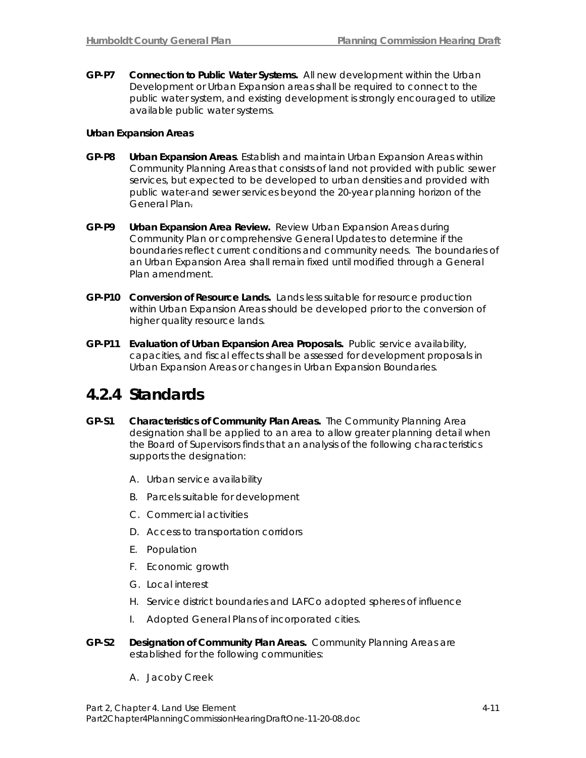**GP-P7 Connection to Public Water Systems.** All new development within the Urban Development or Urban Expansion areas shall be required to connect to the public water system, and existing development is strongly encouraged to utilize available public water systems.

#### **Urban Expansion Areas**

- **GP-P8 Urban Expansion Areas**. Establish and maintain Urban Expansion Areas within Community Planning Areas that consists of land not provided with public sewer services, but expected to be developed to urban densities and provided with public water and sewer services beyond the 20-year planning horizon of the General Plan.
- **GP-P9 Urban Expansion Area Review.** Review Urban Expansion Areas during Community Plan or comprehensive General Updates to determine if the boundaries reflect current conditions and community needs. The boundaries of an Urban Expansion Area shall remain fixed until modified through a General Plan amendment.
- **GP-P10 Conversion of Resource Lands.** Lands less suitable for resource production within Urban Expansion Areas should be developed prior to the conversion of higher quality resource lands.
- **GP-P11 Evaluation of Urban Expansion Area Proposals.** Public service availability, capacities, and fiscal effects shall be assessed for development proposals in Urban Expansion Areas or changes in Urban Expansion Boundaries.

## **4.2.4 Standards**

- **GP-S1 Characteristics of Community Plan Areas.** The Community Planning Area designation shall be applied to an area to allow greater planning detail when the Board of Supervisors finds that an analysis of the following characteristics supports the designation:
	- A. Urban service availability
	- B. Parcels suitable for development
	- C. Commercial activities
	- D. Access to transportation corridors
	- E. Population
	- F. Economic growth
	- G. Local interest
	- H. Service district boundaries and LAFCo adopted spheres of influence
	- I. Adopted General Plans of incorporated cities.
- **GP-S2 Designation of Community Plan Areas.** Community Planning Areas are established for the following communities:
	- A. Jacoby Creek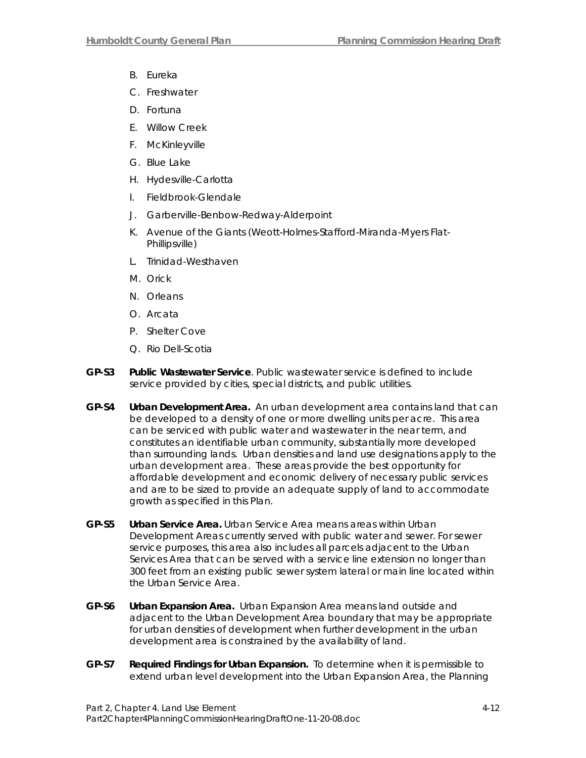- B. Eureka
- C. Freshwater
- D. Fortuna
- E. Willow Creek
- F. McKinleyville
- G. Blue Lake
- H. Hydesville-Carlotta
- I. Fieldbrook-Glendale
- J. Garberville-Benbow-Redway-Alderpoint
- K. Avenue of the Giants (Weott-Holmes-Stafford-Miranda-Myers Flat-Phillipsville)
- L. Trinidad-Westhaven
- M. Orick
- N. Orleans
- O. Arcata
- P. Shelter Cove
- Q. Rio Dell-Scotia
- **GP-S3 Public Wastewater Service**. Public wastewater service is defined to include service provided by cities, special districts, and public utilities.
- **GP-S4 Urban Development Area.** An urban development area contains land that can be developed to a density of one or more dwelling units per acre. This area can be serviced with public water and wastewater in the near term, and constitutes an identifiable urban community, substantially more developed than surrounding lands. Urban densities and land use designations apply to the urban development area. These areas provide the best opportunity for affordable development and economic delivery of necessary public services and are to be sized to provide an adequate supply of land to accommodate growth as specified in this Plan.
- **GP-S5 Urban Service Area.** Urban Service Area means areas within Urban Development Areas currently served with public water and sewer. For sewer service purposes, this area also includes all parcels adjacent to the Urban Services Area that can be served with a service line extension no longer than 300 feet from an existing public sewer system lateral or main line located within the Urban Service Area.
- **GP-S6 Urban Expansion Area.** Urban Expansion Area means land outside and adjacent to the Urban Development Area boundary that may be appropriate for urban densities of development when further development in the urban development area is constrained by the availability of land.
- **GP-S7 Required Findings for Urban Expansion.** To determine when it is permissible to extend urban level development into the Urban Expansion Area, the Planning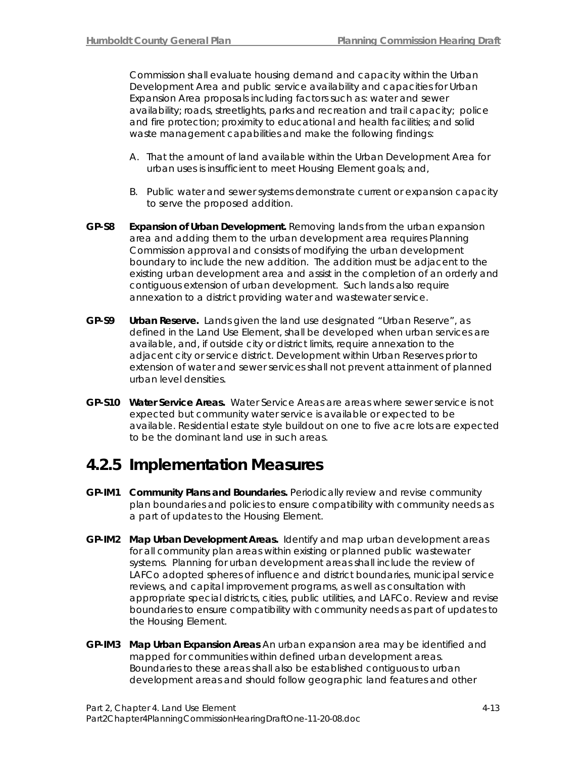Commission shall evaluate housing demand and capacity within the Urban Development Area and public service availability and capacities for Urban Expansion Area proposals including factors such as: water and sewer availability; roads, streetlights, parks and recreation and trail capacity; police and fire protection; proximity to educational and health facilities; and solid waste management capabilities and make the following findings:

- A. That the amount of land available within the Urban Development Area for urban uses is insufficient to meet Housing Element goals; and,
- B. Public water and sewer systems demonstrate current or expansion capacity to serve the proposed addition.
- **GP-S8 Expansion of Urban Development.** Removing lands from the urban expansion area and adding them to the urban development area requires Planning Commission approval and consists of modifying the urban development boundary to include the new addition. The addition must be adjacent to the existing urban development area and assist in the completion of an orderly and contiguous extension of urban development. Such lands also require annexation to a district providing water and wastewater service.
- **GP-S9 Urban Reserve.** Lands given the land use designated "Urban Reserve", as defined in the Land Use Element, shall be developed when urban services are available, and, if outside city or district limits, require annexation to the adjacent city or service district. Development within Urban Reserves prior to extension of water and sewer services shall not prevent attainment of planned urban level densities.
- **GP-S10 Water Service Areas.** Water Service Areas are areas where sewer service is not expected but community water service is available or expected to be available. Residential estate style buildout on one to five acre lots are expected to be the dominant land use in such areas.

## **4.2.5 Implementation Measures**

- **GP-IM1 Community Plans and Boundaries.** Periodically review and revise community plan boundaries and policies to ensure compatibility with community needs as a part of updates to the Housing Element.
- **GP-IM2 Map Urban Development Areas.** Identify and map urban development areas for all community plan areas within existing or planned public wastewater systems. Planning for urban development areas shall include the review of LAFCo adopted spheres of influence and district boundaries, municipal service reviews, and capital improvement programs, as well as consultation with appropriate special districts, cities, public utilities, and LAFCo. Review and revise boundaries to ensure compatibility with community needs as part of updates to the Housing Element.
- **GP-IM3 Map Urban Expansion Areas** An urban expansion area may be identified and mapped for communities within defined urban development areas. Boundaries to these areas shall also be established contiguous to urban development areas and should follow geographic land features and other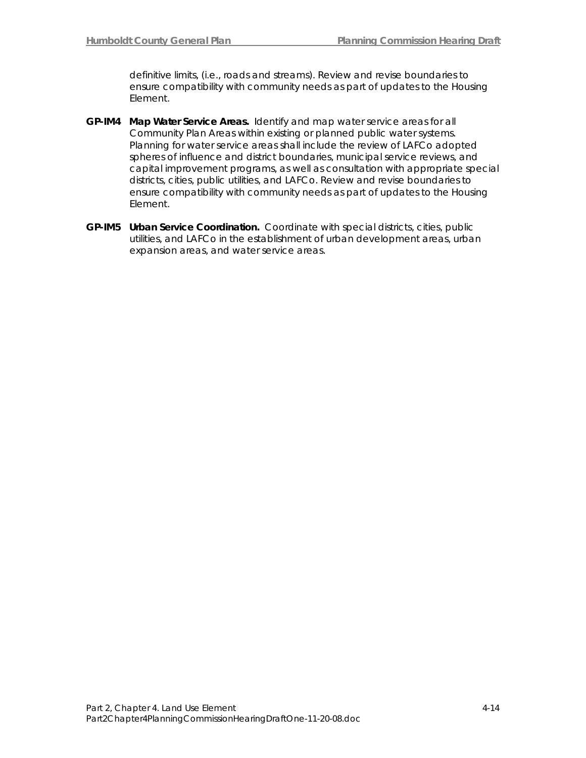definitive limits, (i.e., roads and streams). Review and revise boundaries to ensure compatibility with community needs as part of updates to the Housing Element.

- **GP-IM4 Map Water Service Areas.** Identify and map water service areas for all Community Plan Areas within existing or planned public water systems. Planning for water service areas shall include the review of LAFCo adopted spheres of influence and district boundaries, municipal service reviews, and capital improvement programs, as well as consultation with appropriate special districts, cities, public utilities, and LAFCo. Review and revise boundaries to ensure compatibility with community needs as part of updates to the Housing Element.
- **GP-IM5 Urban Service Coordination.** Coordinate with special districts, cities, public utilities, and LAFCo in the establishment of urban development areas, urban expansion areas, and water service areas.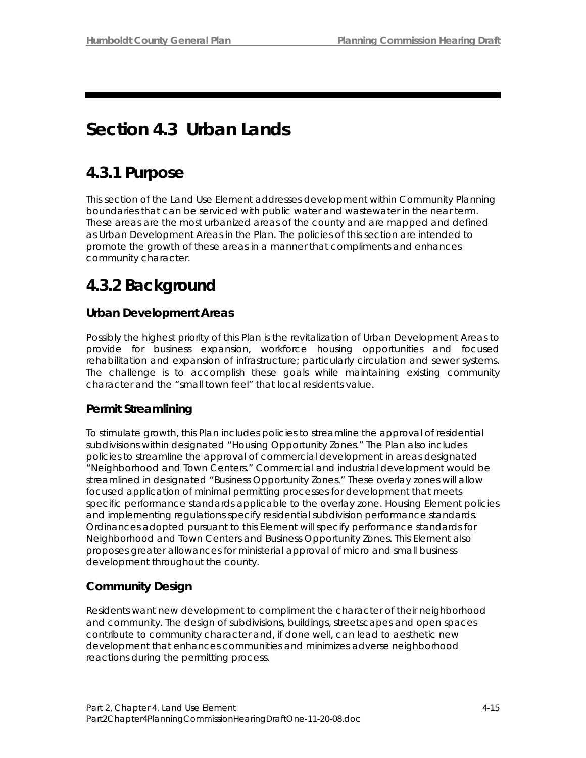# **Section 4.3 Urban Lands**

## **4.3.1Purpose**

This section of the Land Use Element addresses development within Community Planning boundaries that can be serviced with public water and wastewater in the near term. These areas are the most urbanized areas of the county and are mapped and defined as Urban Development Areas in the Plan. The policies of this section are intended to promote the growth of these areas in a manner that compliments and enhances community character.

## **4.3.2 Background**

## **Urban Development Areas**

Possibly the highest priority of this Plan is the revitalization of Urban Development Areas to provide for business expansion, workforce housing opportunities and focused rehabilitation and expansion of infrastructure; particularly circulation and sewer systems. The challenge is to accomplish these goals while maintaining existing community character and the "small town feel" that local residents value.

## **Permit Streamlining**

To stimulate growth, this Plan includes policies to streamline the approval of residential subdivisions within designated "Housing Opportunity Zones." The Plan also includes policies to streamline the approval of commercial development in areas designated "Neighborhood and Town Centers." Commercial and industrial development would be streamlined in designated "Business Opportunity Zones." These overlay zones will allow focused application of minimal permitting processes for development that meets specific performance standards applicable to the overlay zone. Housing Element policies and implementing regulations specify residential subdivision performance standards. Ordinances adopted pursuant to this Element will specify performance standards for Neighborhood and Town Centers and Business Opportunity Zones. This Element also proposes greater allowances for ministerial approval of micro and small business development throughout the county.

## **Community Design**

Residents want new development to compliment the character of their neighborhood and community. The design of subdivisions, buildings, streetscapes and open spaces contribute to community character and, if done well, can lead to aesthetic new development that enhances communities and minimizes adverse neighborhood reactions during the permitting process.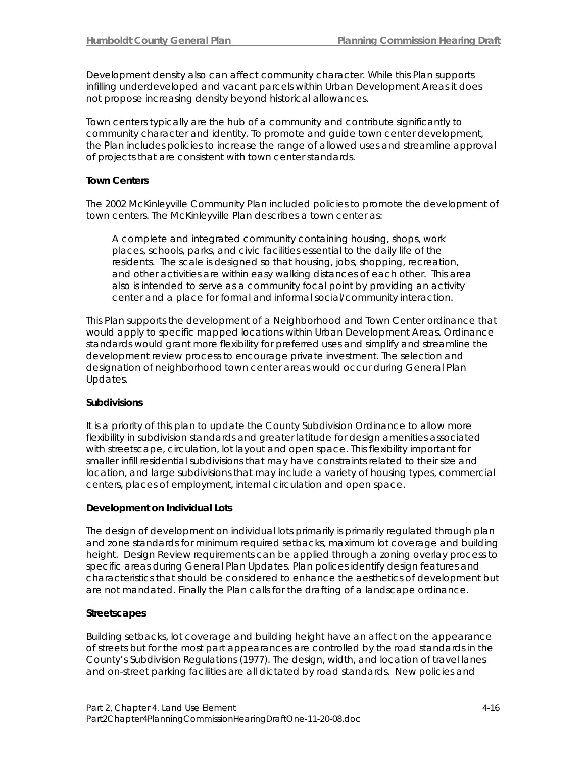Development density also can affect community character. While this Plan supports infilling underdeveloped and vacant parcels within Urban Development Areas it does not propose increasing density beyond historical allowances.

Town centers typically are the hub of a community and contribute significantly to community character and identity. To promote and guide town center development, the Plan includes policies to increase the range of allowed uses and streamline approval of projects that are consistent with town center standards.

#### **Town Centers**

The 2002 McKinleyville Community Plan included policies to promote the development of town centers. The McKinleyville Plan describes a town center as:

*A complete and integrated community containing housing, shops, work places, schools, parks, and civic facilities essential to the daily life of the residents. The scale is designed so that housing, jobs, shopping, recreation, and other activities are within easy walking distances of each other. This area also is intended to serve as a community focal point by providing an activity center and a place for formal and informal social/community interaction.*

This Plan supports the development of a Neighborhood and Town Center ordinance that would apply to specific mapped locations within Urban Development Areas. Ordinance standards would grant more flexibility for preferred uses and simplify and streamline the development review process to encourage private investment. The selection and designation of neighborhood town center areas would occur during General Plan Updates.

#### **Subdivisions**

It is a priority of this plan to update the County Subdivision Ordinance to allow more flexibility in subdivision standards and greater latitude for design amenities associated with streetscape, circulation, lot layout and open space. This flexibility important for smaller infill residential subdivisions that may have constraints related to their size and location, and large subdivisions that may include a variety of housing types, commercial centers, places of employment, internal circulation and open space.

#### **Development on Individual Lots**

The design of development on individual lots primarily is primarily regulated through plan and zone standards for minimum required setbacks, maximum lot coverage and building height. Design Review requirements can be applied through a zoning overlay process to specific areas during General Plan Updates. Plan polices identify design features and characteristics that should be considered to enhance the aesthetics of development but are not mandated. Finally the Plan calls for the drafting of a landscape ordinance.

#### **Streetscapes**

Building setbacks, lot coverage and building height have an affect on the appearance of streets but for the most part appearances are controlled by the road standards in the County's Subdivision Regulations (1977). The design, width, and location of travel lanes and on-street parking facilities are all dictated by road standards. New policies and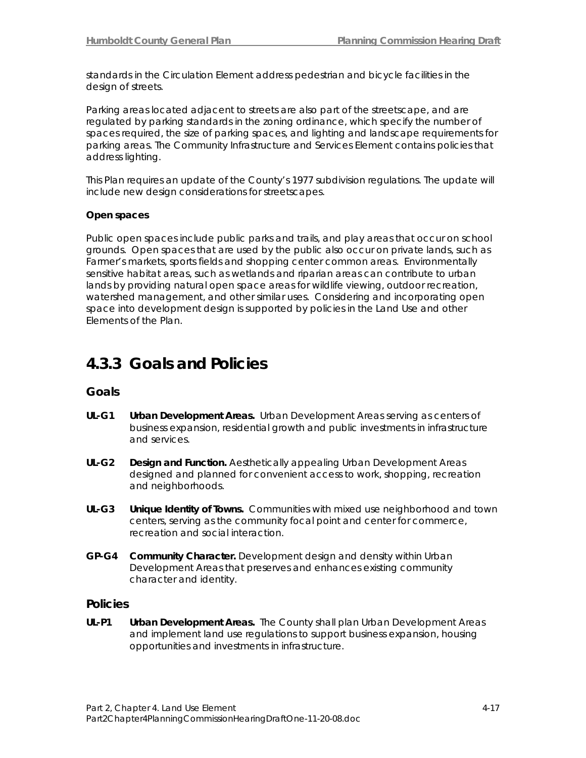standards in the Circulation Element address pedestrian and bicycle facilities in the design of streets.

Parking areas located adjacent to streets are also part of the streetscape, and are regulated by parking standards in the zoning ordinance, which specify the number of spaces required, the size of parking spaces, and lighting and landscape requirements for parking areas. The Community Infrastructure and Services Element contains policies that address lighting.

This Plan requires an update of the County's 1977 subdivision regulations. The update will include new design considerations for streetscapes.

#### **Open spaces**

Public open spaces include public parks and trails, and play areas that occur on school grounds. Open spaces that are used by the public also occur on private lands, such as Farmer's markets, sports fields and shopping center common areas. Environmentally sensitive habitat areas, such as wetlands and riparian areas can contribute to urban lands by providing natural open space areas for wildlife viewing, outdoor recreation, watershed management, and other similar uses. Considering and incorporating open space into development design is supported by policies in the Land Use and other Elements of the Plan.

## **4.3.3 Goals and Policies**

### **Goals**

- **UL-G1 Urban Development Areas.** Urban Development Areas serving as centers of business expansion, residential growth and public investments in infrastructure and services.
- **UL-G2 Design and Function.** Aesthetically appealing Urban Development Areas designed and planned for convenient access to work, shopping, recreation and neighborhoods.
- **UL-G3 Unique Identity of Towns.** Communities with mixed use neighborhood and town centers, serving as the community focal point and center for commerce, recreation and social interaction.
- **GP-G4 Community Character.** Development design and density within Urban Development Areas that preserves and enhances existing community character and identity.

#### **Policies**

**UL-P1 Urban Development Areas.** The County shall plan Urban Development Areas and implement land use regulations to support business expansion, housing opportunities and investments in infrastructure.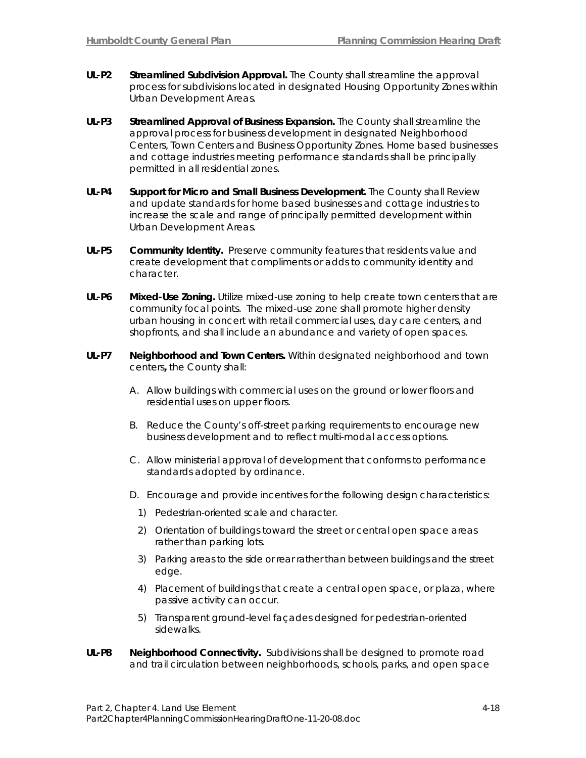- **UL-P2 Streamlined Subdivision Approval.** The County shall streamline the approval process for subdivisions located in designated Housing Opportunity Zones within Urban Development Areas.
- **UL-P3 Streamlined Approval of Business Expansion.** The County shall streamline the approval process for business development in designated Neighborhood Centers, Town Centers and Business Opportunity Zones. Home based businesses and cottage industries meeting performance standards shall be principally permitted in all residential zones.
- **UL-P4 Support for Micro and Small Business Development.** The County shall Review and update standards for home based businesses and cottage industries to increase the scale and range of principally permitted development within Urban Development Areas.
- **UL-P5 Community Identity.** Preserve community features that residents value and create development that compliments or adds to community identity and character.
- **UL-P6 Mixed-Use Zoning.** Utilize mixed-use zoning to help create town centers that are community focal points. The mixed-use zone shall promote higher density urban housing in concert with retail commercial uses, day care centers, and shopfronts, and shall include an abundance and variety of open spaces.
- **UL-P7 Neighborhood and Town Centers.** Within designated neighborhood and town centers**,** the County shall:
	- A. Allow buildings with commercial uses on the ground or lower floors and residential uses on upper floors.
	- B. Reduce the County's off-street parking requirements to encourage new business development and to reflect multi-modal access options.
	- C. Allow ministerial approval of development that conforms to performance standards adopted by ordinance.
	- D. Encourage and provide incentives for the following design characteristics:
		- 1) Pedestrian-oriented scale and character.
		- 2) Orientation of buildings toward the street or central open space areas rather than parking lots.
		- 3) Parking areas to the side or rear rather than between buildings and the street edge.
		- 4) Placement of buildings that create a central open space, or plaza, where passive activity can occur.
		- 5) Transparent ground-level façades designed for pedestrian-oriented sidewalks.
- **UL-P8 Neighborhood Connectivity.** Subdivisions shall be designed to promote road and trail circulation between neighborhoods, schools, parks, and open space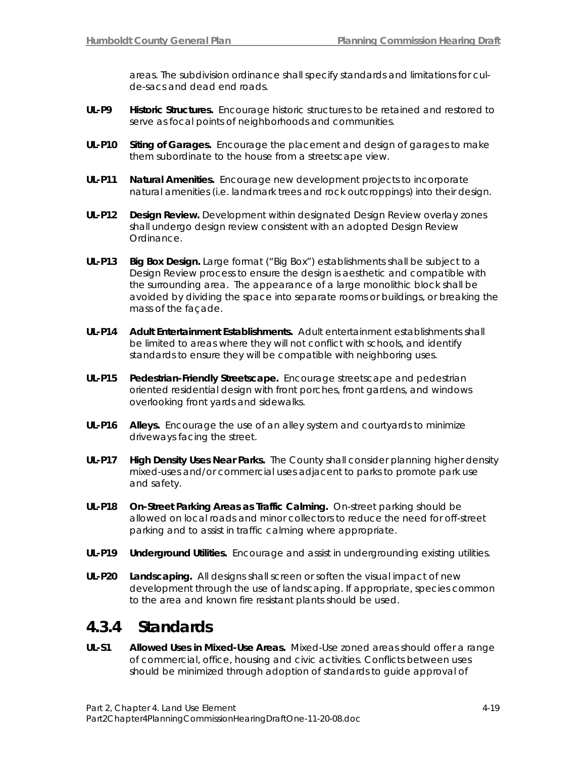areas. The subdivision ordinance shall specify standards and limitations for culde-sacs and dead end roads.

- **UL-P9 Historic Structures.** Encourage historic structures to be retained and restored to serve as focal points of neighborhoods and communities.
- **UL-P10 Siting of Garages.** Encourage the placement and design of garages to make them subordinate to the house from a streetscape view.
- **UL-P11 Natural Amenities.** Encourage new development projects to incorporate natural amenities (i.e. landmark trees and rock outcroppings) into their design.
- **UL-P12 Design Review.** Development within designated Design Review overlay zones shall undergo design review consistent with an adopted Design Review Ordinance.
- **UL-P13 Big Box Design.** Large format ("Big Box") establishments shall be subject to a Design Review process to ensure the design is aesthetic and compatible with the surrounding area. The appearance of a large monolithic block shall be avoided by dividing the space into separate rooms or buildings, or breaking the mass of the façade.
- **UL-P14 Adult Entertainment Establishments.** Adult entertainment establishments shall be limited to areas where they will not conflict with schools, and identify standards to ensure they will be compatible with neighboring uses.
- **UL-P15 Pedestrian-Friendly Streetscape.** Encourage streetscape and pedestrian oriented residential design with front porches, front gardens, and windows overlooking front yards and sidewalks.
- **UL-P16 Alleys.** Encourage the use of an alley system and courtyards to minimize driveways facing the street.
- **UL-P17 High Density Uses Near Parks.** The County shall consider planning higher density mixed-uses and/or commercial uses adjacent to parks to promote park use and safety.
- **UL-P18 On-Street Parking Areas as Traffic Calming.** On-street parking should be allowed on local roads and minor collectors to reduce the need for off-street parking and to assist in traffic calming where appropriate.
- **UL-P19 Underground Utilities.** Encourage and assist in undergrounding existing utilities.
- **UL-P20 Landscaping.** All designs shall screen or soften the visual impact of new development through the use of landscaping. If appropriate, species common to the area and known fire resistant plants should be used.

## **4.3.4 Standards**

**UL-S1 Allowed Uses in Mixed-Use Areas.** Mixed-Use zoned areas should offer a range of commercial, office, housing and civic activities. Conflicts between uses should be minimized through adoption of standards to guide approval of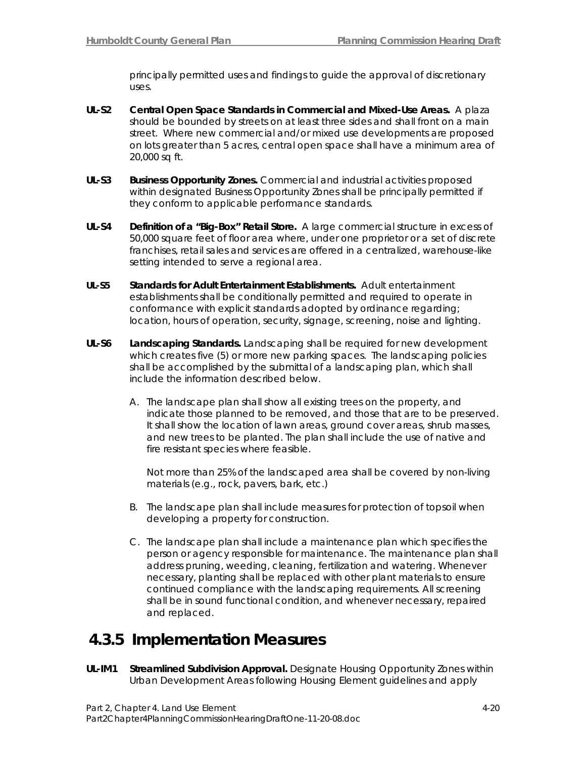principally permitted uses and findings to guide the approval of discretionary uses.

- **UL-S2 Central Open Space Standards in Commercial and Mixed-Use Areas.** A plaza should be bounded by streets on at least three sides and shall front on a main street. Where new commercial and/or mixed use developments are proposed on lots greater than 5 acres, central open space shall have a minimum area of 20,000 sq ft.
- **UL-S3 Business Opportunity Zones.** Commercial and industrial activities proposed within designated Business Opportunity Zones shall be principally permitted if they conform to applicable performance standards.
- **UL-S4 Definition of a "Big-Box" Retail Store.** A large commercial structure in excess of 50,000 square feet of floor area where, under one proprietor or a set of discrete franchises, retail sales and services are offered in a centralized, warehouse-like setting intended to serve a regional area.
- **UL-S5 Standards for Adult Entertainment Establishments.** Adult entertainment establishments shall be conditionally permitted and required to operate in conformance with explicit standards adopted by ordinance regarding; location, hours of operation, security, signage, screening, noise and lighting.
- **UL-S6 Landscaping Standards.** Landscaping shall be required for new development which creates five (5) or more new parking spaces. The landscaping policies shall be accomplished by the submittal of a landscaping plan, which shall include the information described below.
	- A. The landscape plan shall show all existing trees on the property, and indicate those planned to be removed, and those that are to be preserved. It shall show the location of lawn areas, ground cover areas, shrub masses, and new trees to be planted. The plan shall include the use of native and fire resistant species where feasible.

 Not more than 25% of the landscaped area shall be covered by non-living materials (e.g., rock, pavers, bark, etc.)

- B. The landscape plan shall include measures for protection of topsoil when developing a property for construction.
- C. The landscape plan shall include a maintenance plan which specifies the person or agency responsible for maintenance. The maintenance plan shall address pruning, weeding, cleaning, fertilization and watering. Whenever necessary, planting shall be replaced with other plant materials to ensure continued compliance with the landscaping requirements. All screening shall be in sound functional condition, and whenever necessary, repaired and replaced.

## **4.3.5 Implementation Measures**

**UL-IM1 Streamlined Subdivision Approval.** Designate Housing Opportunity Zones within Urban Development Areas following Housing Element guidelines and apply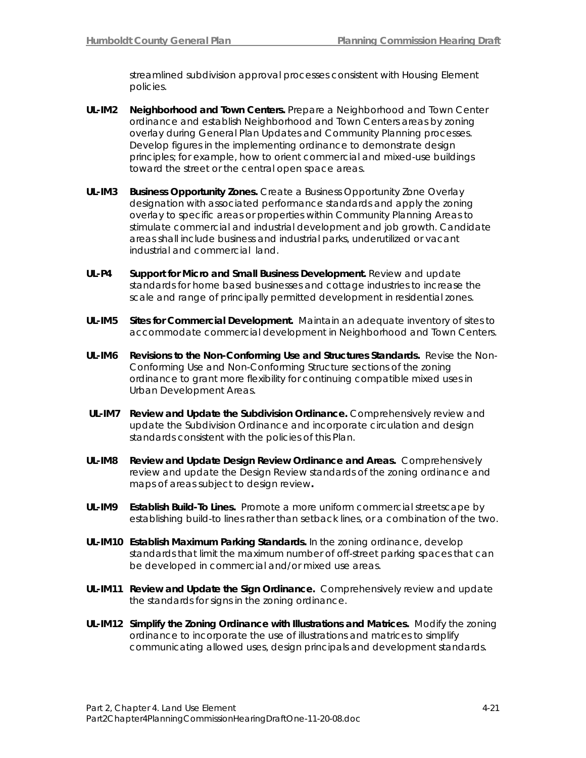streamlined subdivision approval processes consistent with Housing Element policies.

- **UL-IM2 Neighborhood and Town Centers.** Prepare a Neighborhood and Town Center ordinance and establish Neighborhood and Town Centers areas by zoning overlay during General Plan Updates and Community Planning processes. Develop figures in the implementing ordinance to demonstrate design principles; for example, how to orient commercial and mixed-use buildings toward the street or the central open space areas.
- **UL-IM3 Business Opportunity Zones.** Create a Business Opportunity Zone Overlay designation with associated performance standards and apply the zoning overlay to specific areas or properties within Community Planning Areas to stimulate commercial and industrial development and job growth. Candidate areas shall include business and industrial parks, underutilized or vacant industrial and commercial land.
- **UL-P4 Support for Micro and Small Business Development.** Review and update standards for home based businesses and cottage industries to increase the scale and range of principally permitted development in residential zones.
- **UL-IM5 Sites for Commercial Development.** Maintain an adequate inventory of sites to accommodate commercial development in Neighborhood and Town Centers.
- **UL-IM6 Revisions to the Non-Conforming Use and Structures Standards.** Revise the Non-Conforming Use and Non-Conforming Structure sections of the zoning ordinance to grant more flexibility for continuing compatible mixed uses in Urban Development Areas.
- **UL-IM7 Review and Update the Subdivision Ordinance.** Comprehensively review and update the Subdivision Ordinance and incorporate circulation and design standards consistent with the policies of this Plan.
- **UL-IM8 Review and Update Design Review Ordinance and Areas.** Comprehensively review and update the Design Review standards of the zoning ordinance and maps of areas subject to design review**.**
- **UL-IM9 Establish Build-To Lines.** Promote a more uniform commercial streetscape by establishing build-to lines rather than setback lines, or a combination of the two.
- **UL-IM10 Establish Maximum Parking Standards.** In the zoning ordinance, develop standards that limit the maximum number of off-street parking spaces that can be developed in commercial and/or mixed use areas.
- **UL-IM11 Review and Update the Sign Ordinance.** Comprehensively review and update the standards for signs in the zoning ordinance.
- **UL-IM12 Simplify the Zoning Ordinance with Illustrations and Matrices.** Modify the zoning ordinance to incorporate the use of illustrations and matrices to simplify communicating allowed uses, design principals and development standards.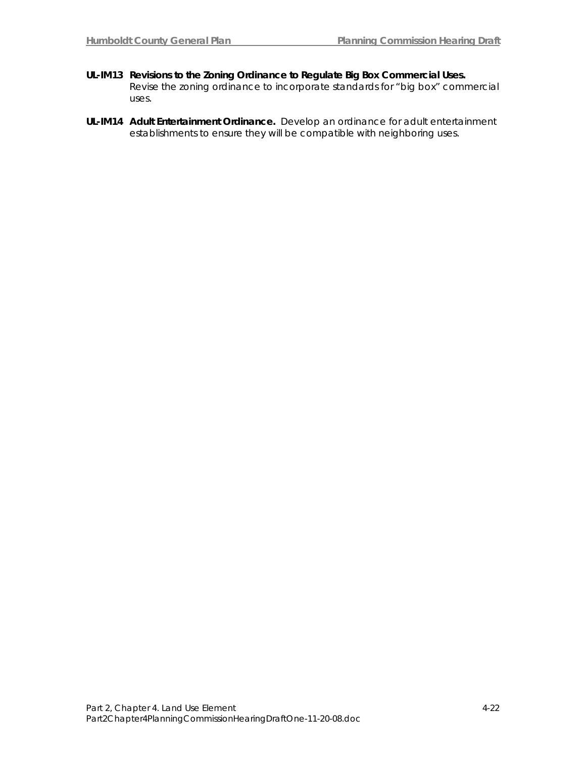- **UL-IM13 Revisions to the Zoning Ordinance to Regulate Big Box Commercial Uses.** Revise the zoning ordinance to incorporate standards for "big box" commercial uses.
- **UL-IM14 Adult Entertainment Ordinance.** Develop an ordinance for adult entertainment establishments to ensure they will be compatible with neighboring uses.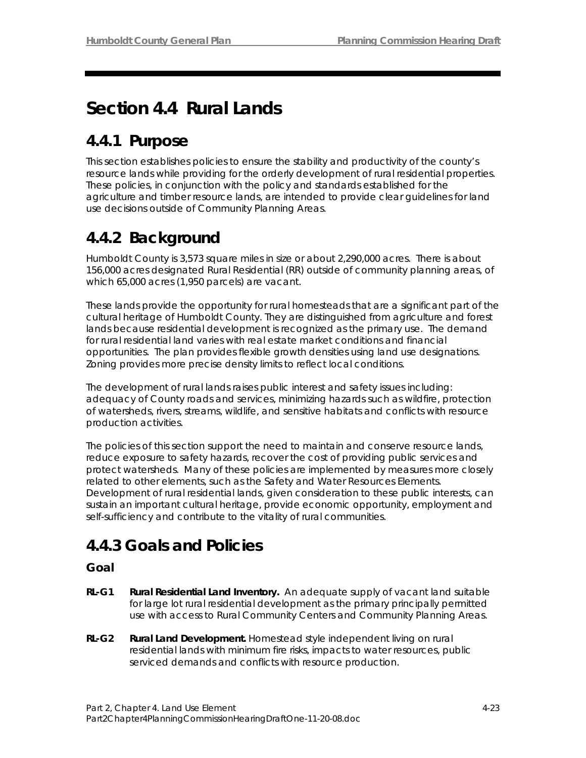# **Section 4.4 Rural Lands**

# **4.4.1 Purpose**

This section establishes policies to ensure the stability and productivity of the county's resource lands while providing for the orderly development of rural residential properties. These policies, in conjunction with the policy and standards established for the agriculture and timber resource lands, are intended to provide clear guidelines for land use decisions outside of Community Planning Areas.

# **4.4.2 Background**

Humboldt County is 3,573 square miles in size or about 2,290,000 acres. There is about 156,000 acres designated Rural Residential (RR) outside of community planning areas, of which 65,000 acres (1,950 parcels) are vacant.

These lands provide the opportunity for rural homesteads that are a significant part of the cultural heritage of Humboldt County. They are distinguished from agriculture and forest lands because residential development is recognized as the primary use. The demand for rural residential land varies with real estate market conditions and financial opportunities. The plan provides flexible growth densities using land use designations. Zoning provides more precise density limits to reflect local conditions.

The development of rural lands raises public interest and safety issues including: adequacy of County roads and services, minimizing hazards such as wildfire, protection of watersheds, rivers, streams, wildlife, and sensitive habitats and conflicts with resource production activities.

The policies of this section support the need to maintain and conserve resource lands, reduce exposure to safety hazards, recover the cost of providing public services and protect watersheds. Many of these policies are implemented by measures more closely related to other elements, such as the Safety and Water Resources Elements. Development of rural residential lands, given consideration to these public interests, can sustain an important cultural heritage, provide economic opportunity, employment and self-sufficiency and contribute to the vitality of rural communities.

## **4.4.3 Goals and Policies**

## **Goal**

- **RL-G1 Rural Residential Land Inventory.** An adequate supply of vacant land suitable for large lot rural residential development as the primary principally permitted use with access to Rural Community Centers and Community Planning Areas.
- **RL-G2 Rural Land Development.** Homestead style independent living on rural residential lands with minimum fire risks, impacts to water resources, public serviced demands and conflicts with resource production.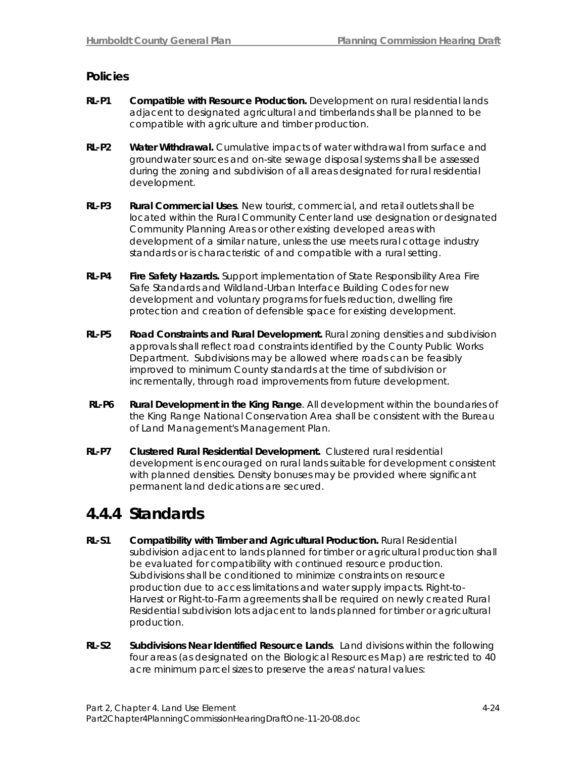## **Policies**

- **RL-P1 Compatible with Resource Production.** Development on rural residential lands adjacent to designated agricultural and timberlands shall be planned to be compatible with agriculture and timber production.
- **RL-P2 Water Withdrawal.** Cumulative impacts of water withdrawal from surface and groundwater sources and on-site sewage disposal systems shall be assessed during the zoning and subdivision of all areas designated for rural residential development.
- **RL-P3 Rural Commercial Uses**. New tourist, commercial, and retail outlets shall be located within the Rural Community Center land use designation or designated Community Planning Areas or other existing developed areas with development of a similar nature, unless the use meets rural cottage industry standards or is characteristic of and compatible with a rural setting.
- **RL-P4 Fire Safety Hazards.** Support implementation of State Responsibility Area Fire Safe Standards and Wildland-Urban Interface Building Codes for new development and voluntary programs for fuels reduction, dwelling fire protection and creation of defensible space for existing development.
- **RL-P5 Road Constraints and Rural Development.** Rural zoning densities and subdivision approvals shall reflect road constraints identified by the County Public Works Department. Subdivisions may be allowed where roads can be feasibly improved to minimum County standards at the time of subdivision or incrementally, through road improvements from future development.
- **RL-P6 Rural Development in the King Range**. All development within the boundaries of the King Range National Conservation Area shall be consistent with the Bureau of Land Management's Management Plan.
- **RL-P7 Clustered Rural Residential Development.** Clustered rural residential development is encouraged on rural lands suitable for development consistent with planned densities. Density bonuses may be provided where significant permanent land dedications are secured.

## **4.4.4 Standards**

- **RL-S1 Compatibility with Timber and Agricultural Production.** Rural Residential subdivision adjacent to lands planned for timber or agricultural production shall be evaluated for compatibility with continued resource production. Subdivisions shall be conditioned to minimize constraints on resource production due to access limitations and water supply impacts. Right-to-Harvest or Right-to-Farm agreements shall be required on newly created Rural Residential subdivision lots adjacent to lands planned for timber or agricultural production.
- **RL-S2 Subdivisions Near Identified Resource Lands**. Land divisions within the following four areas (as designated on the Biological Resources Map) are restricted to 40 acre minimum parcel sizes to preserve the areas' natural values: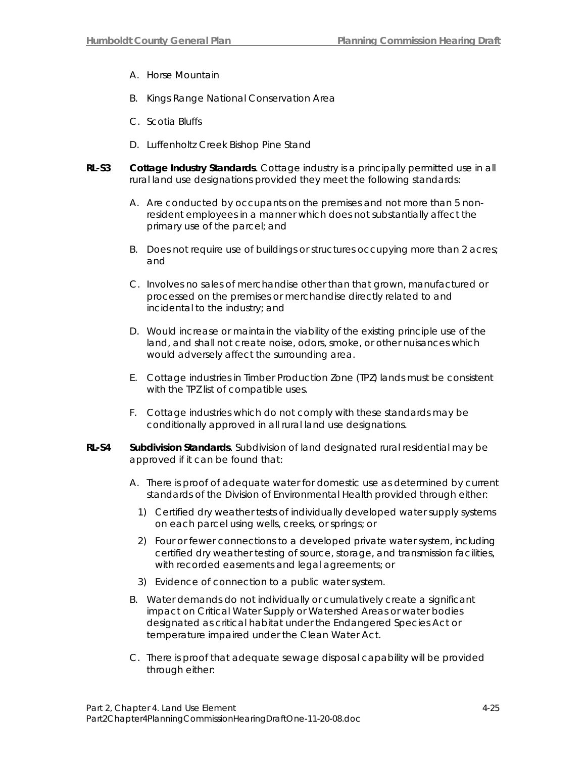- A. Horse Mountain
- B. Kings Range National Conservation Area
- C. Scotia Bluffs
- D. Luffenholtz Creek Bishop Pine Stand
- **RL-S3 Cottage Industry Standards**. Cottage industry is a principally permitted use in all rural land use designations provided they meet the following standards:
	- A. Are conducted by occupants on the premises and not more than 5 nonresident employees in a manner which does not substantially affect the primary use of the parcel; and
	- B. Does not require use of buildings or structures occupying more than 2 acres; and
	- C. Involves no sales of merchandise other than that grown, manufactured or processed on the premises or merchandise directly related to and incidental to the industry; and
	- D. Would increase or maintain the viability of the existing principle use of the land, and shall not create noise, odors, smoke, or other nuisances which would adversely affect the surrounding area.
	- E. Cottage industries in Timber Production Zone (TPZ) lands must be consistent with the TPZ list of compatible uses.
	- F. Cottage industries which do not comply with these standards may be conditionally approved in all rural land use designations.
- **RL-S4 Subdivision Standards**. Subdivision of land designated rural residential may be approved if it can be found that:
	- A. There is proof of adequate water for domestic use as determined by current standards of the Division of Environmental Health provided through either:
		- 1) Certified dry weather tests of individually developed water supply systems on each parcel using wells, creeks, or springs; or
		- 2) Four or fewer connections to a developed private water system, including certified dry weather testing of source, storage, and transmission facilities, with recorded easements and legal agreements; or
		- 3) Evidence of connection to a public water system.
	- B. Water demands do not individually or cumulatively create a significant impact on Critical Water Supply or Watershed Areas or water bodies designated as critical habitat under the Endangered Species Act or temperature impaired under the Clean Water Act.
	- C. There is proof that adequate sewage disposal capability will be provided through either: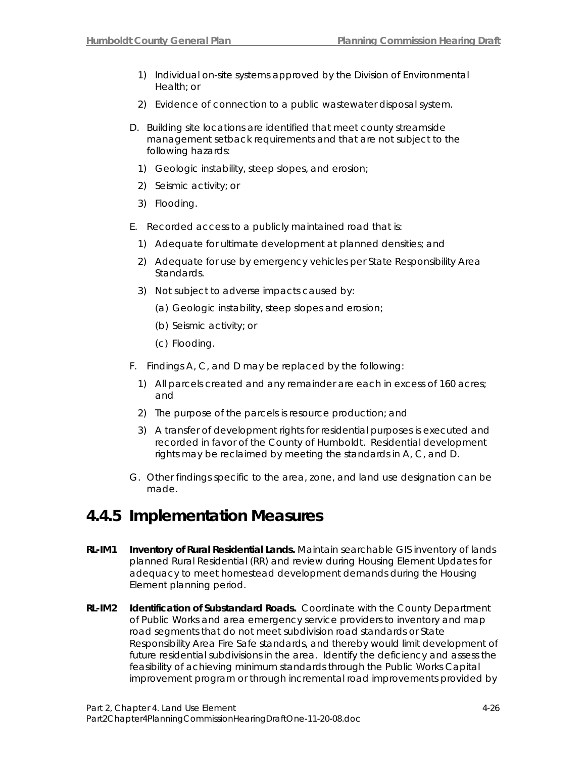- 1) Individual on-site systems approved by the Division of Environmental Health; or
- 2) Evidence of connection to a public wastewater disposal system.
- D. Building site locations are identified that meet county streamside management setback requirements and that are not subject to the following hazards:
	- 1) Geologic instability, steep slopes, and erosion;
	- 2) Seismic activity; or
	- 3) Flooding.
- E. Recorded access to a publicly maintained road that is:
	- 1) Adequate for ultimate development at planned densities; and
	- 2) Adequate for use by emergency vehicles per State Responsibility Area Standards.
	- 3) Not subject to adverse impacts caused by:
		- (a) Geologic instability, steep slopes and erosion;
		- (b) Seismic activity; or
		- (c) Flooding.
- F. Findings A, C, and D may be replaced by the following:
	- 1) All parcels created and any remainder are each in excess of 160 acres; and
	- 2) The purpose of the parcels is resource production; and
	- 3) A transfer of development rights for residential purposes is executed and recorded in favor of the County of Humboldt. Residential development rights may be reclaimed by meeting the standards in A, C, and D.
- G. Other findings specific to the area, zone, and land use designation can be made.

## **4.4.5 Implementation Measures**

- **RL-IM1 Inventory of Rural Residential Lands.** Maintain searchable GIS inventory of lands planned Rural Residential (RR) and review during Housing Element Updates for adequacy to meet homestead development demands during the Housing Element planning period.
- **RL-IM2 Identification of Substandard Roads.** Coordinate with the County Department of Public Works and area emergency service providers to inventory and map road segments that do not meet subdivision road standards or State Responsibility Area Fire Safe standards, and thereby would limit development of future residential subdivisions in the area. Identify the deficiency and assess the feasibility of achieving minimum standards through the Public Works Capital improvement program or through incremental road improvements provided by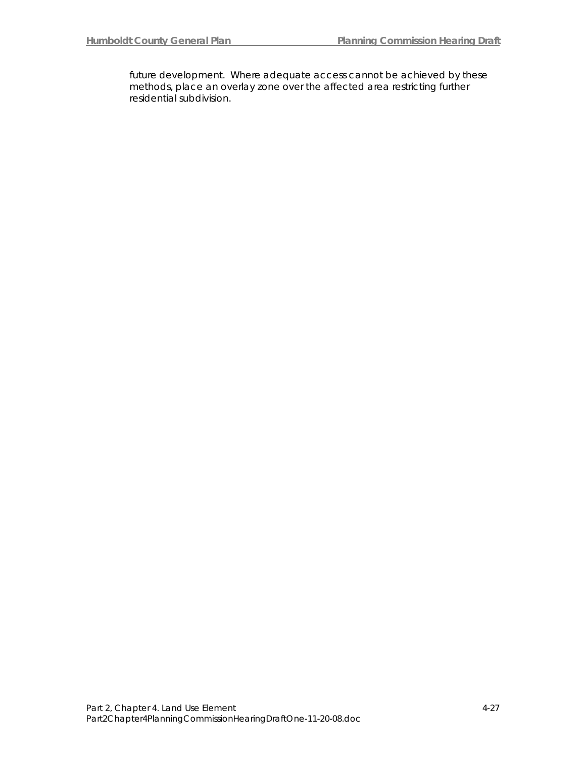future development. Where adequate access cannot be achieved by these methods, place an overlay zone over the affected area restricting further residential subdivision.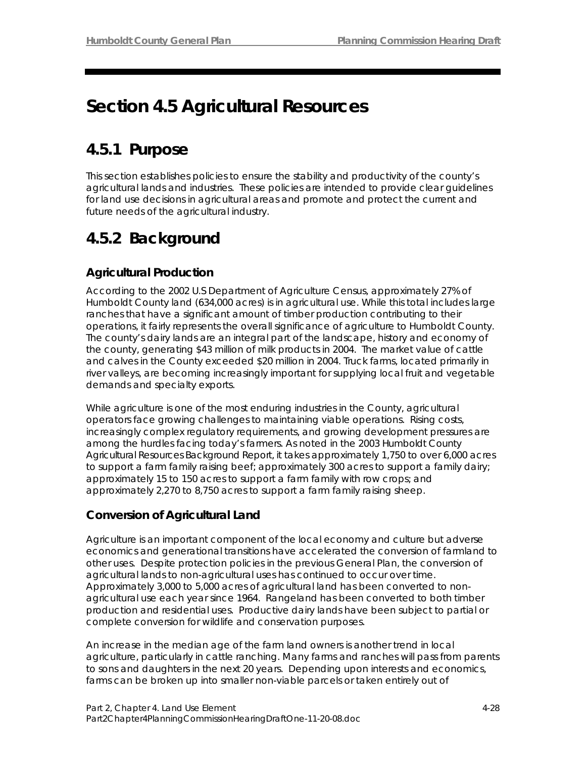# **Section 4.5 Agricultural Resources**

## **4.5.1 Purpose**

This section establishes policies to ensure the stability and productivity of the county's agricultural lands and industries. These policies are intended to provide clear guidelines for land use decisions in agricultural areas and promote and protect the current and future needs of the agricultural industry.

## **4.5.2 Background**

## **Agricultural Production**

According to the 2002 U.S Department of Agriculture Census, approximately 27% of Humboldt County land (634,000 acres) is in agricultural use. While this total includes large ranches that have a significant amount of timber production contributing to their operations, it fairly represents the overall significance of agriculture to Humboldt County. The county's dairy lands are an integral part of the landscape, history and economy of the county, generating \$43 million of milk products in 2004. The market value of cattle and calves in the County exceeded \$20 million in 2004. Truck farms, located primarily in river valleys, are becoming increasingly important for supplying local fruit and vegetable demands and specialty exports.

While agriculture is one of the most enduring industries in the County, agricultural operators face growing challenges to maintaining viable operations. Rising costs, increasingly complex regulatory requirements, and growing development pressures are among the hurdles facing today's farmers. As noted in the 2003 Humboldt County Agricultural Resources Background Report, it takes approximately 1,750 to over 6,000 acres to support a farm family raising beef; approximately 300 acres to support a family dairy; approximately 15 to 150 acres to support a farm family with row crops; and approximately 2,270 to 8,750 acres to support a farm family raising sheep.

## **Conversion of Agricultural Land**

Agriculture is an important component of the local economy and culture but adverse economics and generational transitions have accelerated the conversion of farmland to other uses. Despite protection policies in the previous General Plan, the conversion of agricultural lands to non-agricultural uses has continued to occur over time. Approximately 3,000 to 5,000 acres of agricultural land has been converted to nonagricultural use each year since 1964. Rangeland has been converted to both timber production and residential uses. Productive dairy lands have been subject to partial or complete conversion for wildlife and conservation purposes.

An increase in the median age of the farm land owners is another trend in local agriculture, particularly in cattle ranching. Many farms and ranches will pass from parents to sons and daughters in the next 20 years. Depending upon interests and economics, farms can be broken up into smaller non-viable parcels or taken entirely out of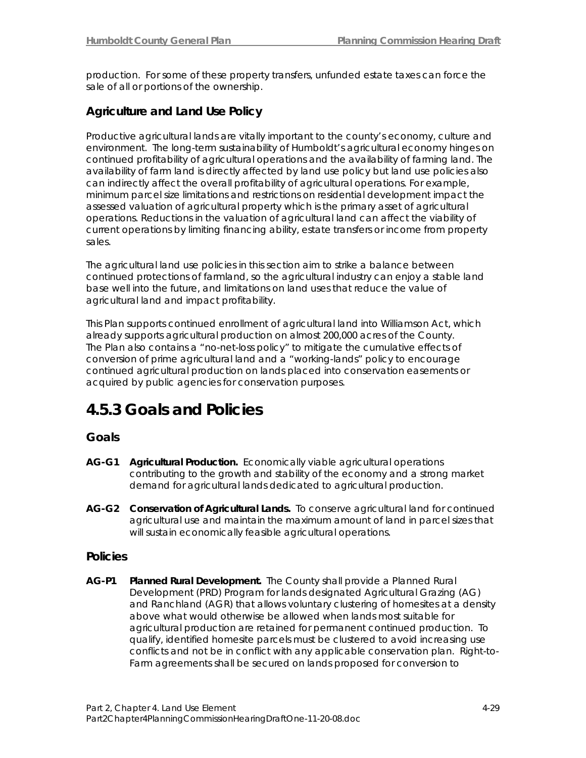production. For some of these property transfers, unfunded estate taxes can force the sale of all or portions of the ownership.

## **Agriculture and Land Use Policy**

Productive agricultural lands are vitally important to the county's economy, culture and environment. The long-term sustainability of Humboldt's agricultural economy hinges on continued profitability of agricultural operations and the availability of farming land. The availability of farm land is directly affected by land use policy but land use policies also can indirectly affect the overall profitability of agricultural operations. For example, minimum parcel size limitations and restrictions on residential development impact the assessed valuation of agricultural property which is the primary asset of agricultural operations. Reductions in the valuation of agricultural land can affect the viability of current operations by limiting financing ability, estate transfers or income from property sales.

The agricultural land use policies in this section aim to strike a balance between continued protections of farmland, so the agricultural industry can enjoy a stable land base well into the future, and limitations on land uses that reduce the value of agricultural land and impact profitability.

This Plan supports continued enrollment of agricultural land into Williamson Act, which already supports agricultural production on almost 200,000 acres of the County. The Plan also contains a "no-net-loss policy" to mitigate the cumulative effects of conversion of prime agricultural land and a "working-lands" policy to encourage continued agricultural production on lands placed into conservation easements or acquired by public agencies for conservation purposes.

## **4.5.3 Goals and Policies**

### **Goals**

- **AG-G1 Agricultural Production.** Economically viable agricultural operations contributing to the growth and stability of the economy and a strong market demand for agricultural lands dedicated to agricultural production.
- **AG-G2 Conservation of Agricultural Lands.** To conserve agricultural land for continued agricultural use and maintain the maximum amount of land in parcel sizes that will sustain economically feasible agricultural operations.

### **Policies**

**AG-P1 Planned Rural Development.** The County shall provide a Planned Rural Development (PRD) Program for lands designated Agricultural Grazing (AG) and Ranchland (AGR) that allows voluntary clustering of homesites at a density above what would otherwise be allowed when lands most suitable for agricultural production are retained for permanent continued production. To qualify, identified homesite parcels must be clustered to avoid increasing use conflicts and not be in conflict with any applicable conservation plan. Right-to-Farm agreements shall be secured on lands proposed for conversion to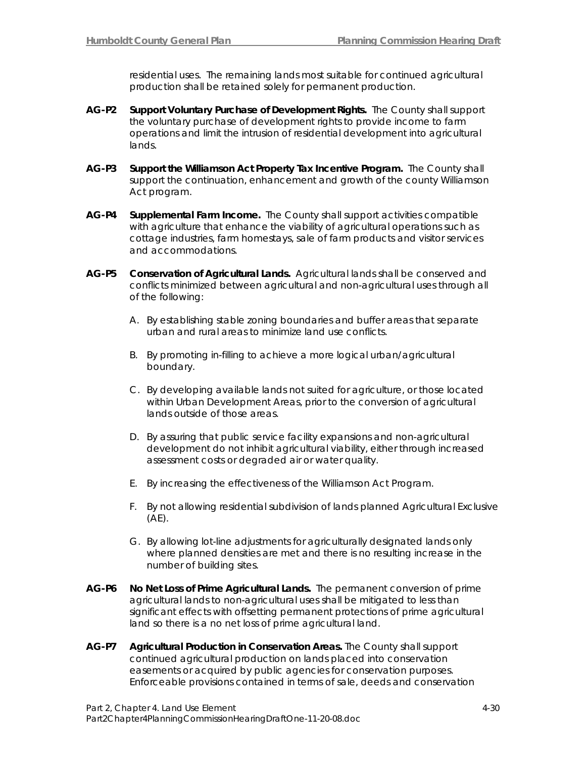residential uses. The remaining lands most suitable for continued agricultural production shall be retained solely for permanent production.

- **AG-P2 Support Voluntary Purchase of Development Rights.** The County shall support the voluntary purchase of development rights to provide income to farm operations and limit the intrusion of residential development into agricultural lands.
- **AG-P3 Support the Williamson Act Property Tax Incentive Program.** The County shall support the continuation, enhancement and growth of the county Williamson Act program.
- **AG-P4 Supplemental Farm Income.** The County shall support activities compatible with agriculture that enhance the viability of agricultural operations such as cottage industries, farm homestays, sale of farm products and visitor services and accommodations.
- **AG-P5 Conservation of Agricultural Lands.** Agricultural lands shall be conserved and conflicts minimized between agricultural and non-agricultural uses through all of the following:
	- A. By establishing stable zoning boundaries and buffer areas that separate urban and rural areas to minimize land use conflicts.
	- B. By promoting in-filling to achieve a more logical urban/agricultural boundary.
	- C. By developing available lands not suited for agriculture, or those located within Urban Development Areas, prior to the conversion of agricultural lands outside of those areas.
	- D. By assuring that public service facility expansions and non-agricultural development do not inhibit agricultural viability, either through increased assessment costs or degraded air or water quality.
	- E. By increasing the effectiveness of the Williamson Act Program.
	- F. By not allowing residential subdivision of lands planned Agricultural Exclusive  $(AE)$ .
	- G. By allowing lot-line adjustments for agriculturally designated lands only where planned densities are met and there is no resulting increase in the number of building sites.
- **AG-P6 No Net Loss of Prime Agricultural Lands.** The permanent conversion of prime agricultural lands to non-agricultural uses shall be mitigated to less than significant effects with offsetting permanent protections of prime agricultural land so there is a no net loss of prime agricultural land.
- **AG-P7 Agricultural Production in Conservation Areas.** The County shall support continued agricultural production on lands placed into conservation easements or acquired by public agencies for conservation purposes. Enforceable provisions contained in terms of sale, deeds and conservation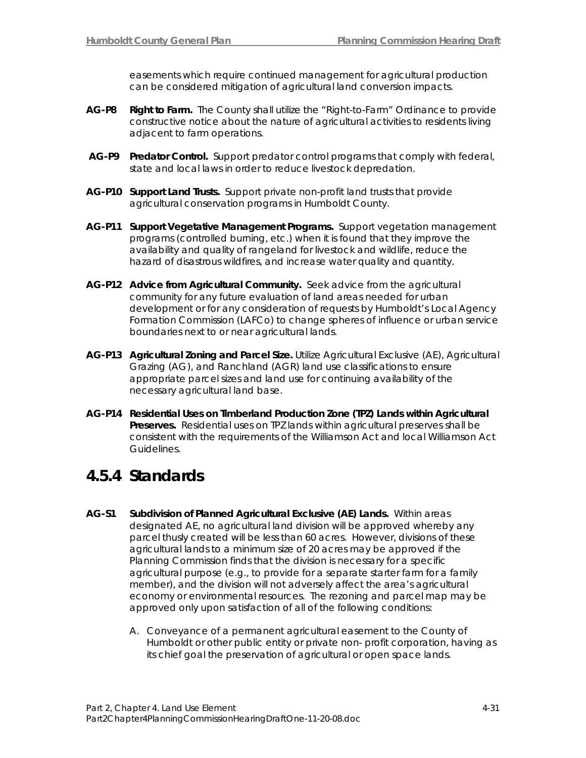easements which require continued management for agricultural production can be considered mitigation of agricultural land conversion impacts.

- **AG-P8 Right to Farm.** The County shall utilize the "Right-to-Farm" Ordinance to provide constructive notice about the nature of agricultural activities to residents living adjacent to farm operations.
- **AG-P9 Predator Control.** Support predator control programs that comply with federal, state and local laws in order to reduce livestock depredation.
- **AG-P10 Support Land Trusts.** Support private non-profit land trusts that provide agricultural conservation programs in Humboldt County.
- **AG-P11 Support Vegetative Management Programs.** Support vegetation management programs (controlled burning, etc.) when it is found that they improve the availability and quality of rangeland for livestock and wildlife, reduce the hazard of disastrous wildfires, and increase water quality and quantity.
- **AG-P12 Advice from Agricultural Community.** Seek advice from the agricultural community for any future evaluation of land areas needed for urban development or for any consideration of requests by Humboldt's Local Agency Formation Commission (LAFCo) to change spheres of influence or urban service boundaries next to or near agricultural lands.
- **AG-P13 Agricultural Zoning and Parcel Size.** Utilize Agricultural Exclusive (AE), Agricultural Grazing (AG), and Ranchland (AGR) land use classifications to ensure appropriate parcel sizes and land use for continuing availability of the necessary agricultural land base.
- **AG-P14 Residential Uses on Timberland Production Zone (TPZ) Lands within Agricultural Preserves.** Residential uses on TPZ lands within agricultural preserves shall be consistent with the requirements of the Williamson Act and local Williamson Act Guidelines.

## **4.5.4 Standards**

- **AG-S1 Subdivision of Planned Agricultural Exclusive (AE) Lands.** Within areas designated AE, no agricultural land division will be approved whereby any parcel thusly created will be less than 60 acres. However, divisions of these agricultural lands to a minimum size of 20 acres may be approved if the Planning Commission finds that the division is necessary for a specific agricultural purpose (e.g., to provide for a separate starter farm for a family member), and the division will not adversely affect the area's agricultural economy or environmental resources. The rezoning and parcel map may be approved only upon satisfaction of all of the following conditions:
	- A. Conveyance of a permanent agricultural easement to the County of Humboldt or other public entity or private non- profit corporation, having as its chief goal the preservation of agricultural or open space lands.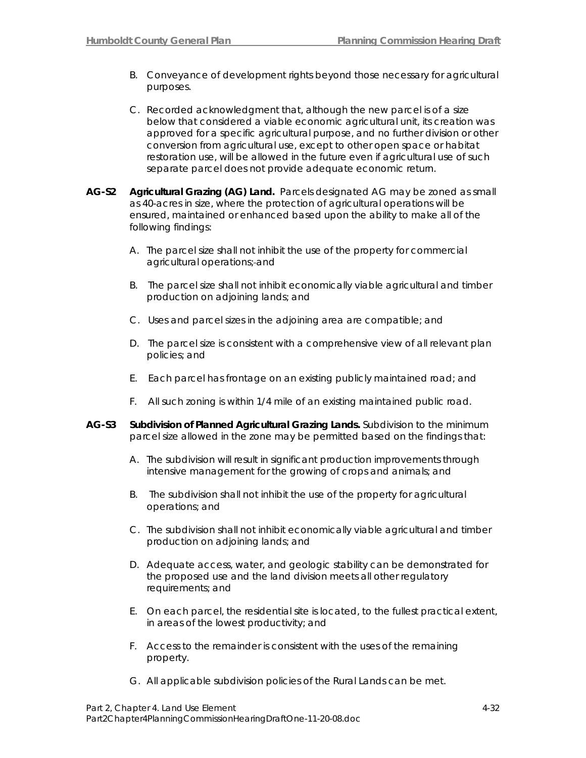- B. Conveyance of development rights beyond those necessary for agricultural purposes.
- C. Recorded acknowledgment that, although the new parcel is of a size below that considered a viable economic agricultural unit, its creation was approved for a specific agricultural purpose, and no further division or other conversion from agricultural use, except to other open space or habitat restoration use, will be allowed in the future even if agricultural use of such separate parcel does not provide adequate economic return.
- **AG-S2 Agricultural Grazing (AG) Land.** Parcels designated AG may be zoned as small as 40-acres in size, where the protection of agricultural operations will be ensured, maintained or enhanced based upon the ability to make all of the following findings:
	- A. The parcel size shall not inhibit the use of the property for commercial agricultural operations; and
	- B. The parcel size shall not inhibit economically viable agricultural and timber production on adjoining lands; and
	- C. Uses and parcel sizes in the adjoining area are compatible; and
	- D. The parcel size is consistent with a comprehensive view of all relevant plan policies; and
	- E. Each parcel has frontage on an existing publicly maintained road; and
	- F. All such zoning is within 1/4 mile of an existing maintained public road.
- **AG-S3 Subdivision of Planned Agricultural Grazing Lands.** Subdivision to the minimum parcel size allowed in the zone may be permitted based on the findings that:
	- A. The subdivision will result in significant production improvements through intensive management for the growing of crops and animals; and
	- B. The subdivision shall not inhibit the use of the property for agricultural operations; and
	- C. The subdivision shall not inhibit economically viable agricultural and timber production on adjoining lands; and
	- D. Adequate access, water, and geologic stability can be demonstrated for the proposed use and the land division meets all other regulatory requirements; and
	- E. On each parcel, the residential site is located, to the fullest practical extent, in areas of the lowest productivity; and
	- F. Access to the remainder is consistent with the uses of the remaining property.
	- G. All applicable subdivision policies of the Rural Lands can be met.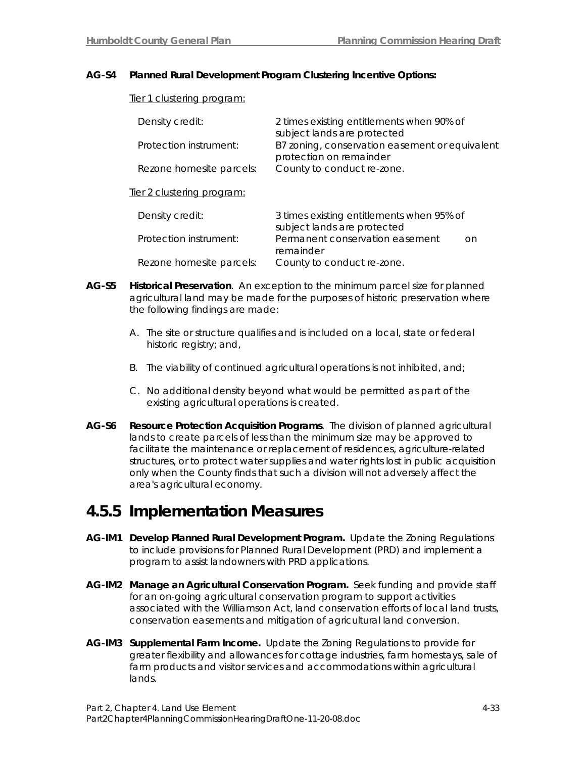#### **AG-S4 Planned Rural Development Program Clustering Incentive Options:**

#### Tier 1 clustering program:

| Density credit:                   | 2 times existing entitlements when 90% of<br>subject lands are protected |
|-----------------------------------|--------------------------------------------------------------------------|
| Protection instrument:            | B7 zoning, conservation easement or equivalent                           |
| Rezone homesite parcels:          | protection on remainder<br>County to conduct re-zone.                    |
| <u>Tier 2 clustering program:</u> |                                                                          |
| Density credit:                   | 3 times existing entitlements when 95% of<br>subject lands are protected |
| Protection instrument:            | Permanent conservation easement<br>on<br>remainder                       |
| Rezone homesite parcels:          | County to conduct re-zone.                                               |

- **AG-S5 Historical Preservation**. An exception to the minimum parcel size for planned agricultural land may be made for the purposes of historic preservation where the following findings are made:
	- A. The site or structure qualifies and is included on a local, state or federal historic registry; and,
	- B. The viability of continued agricultural operations is not inhibited, and;
	- C. No additional density beyond what would be permitted as part of the existing agricultural operations is created.
- **AG-S6 Resource Protection Acquisition Programs**. The division of planned agricultural lands to create parcels of less than the minimum size may be approved to facilitate the maintenance or replacement of residences, agriculture-related structures, or to protect water supplies and water rights lost in public acquisition only when the County finds that such a division will not adversely affect the area's agricultural economy.

## **4.5.5 Implementation Measures**

- **AG-IM1 Develop Planned Rural Development Program.** Update the Zoning Regulations to include provisions for Planned Rural Development (PRD) and implement a program to assist landowners with PRD applications.
- **AG-IM2 Manage an Agricultural Conservation Program.** Seek funding and provide staff for an on-going agricultural conservation program to support activities associated with the Williamson Act, land conservation efforts of local land trusts, conservation easements and mitigation of agricultural land conversion.
- **AG-IM3 Supplemental Farm Income.** Update the Zoning Regulations to provide for greater flexibility and allowances for cottage industries, farm homestays, sale of farm products and visitor services and accommodations within agricultural lands.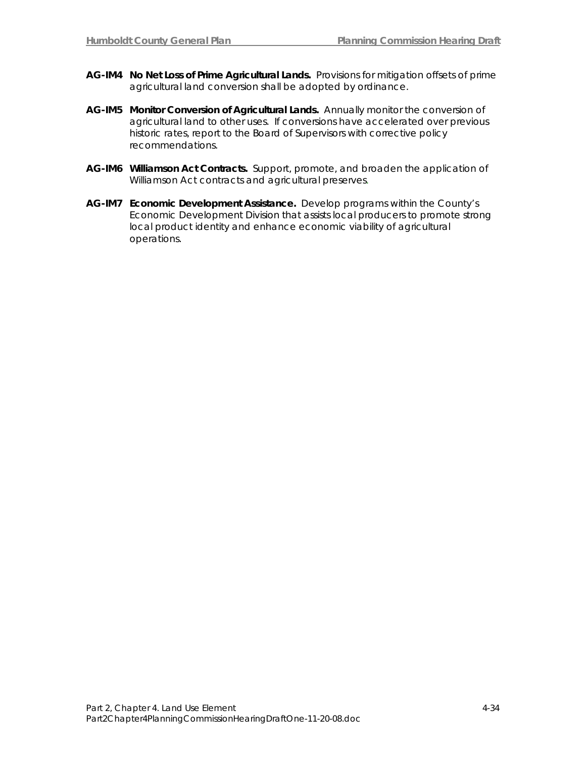- **AG-IM4 No Net Loss of Prime Agricultural Lands.** Provisions for mitigation offsets of prime agricultural land conversion shall be adopted by ordinance.
- **AG-IM5 Monitor Conversion of Agricultural Lands.** Annually monitor the conversion of agricultural land to other uses. If conversions have accelerated over previous historic rates, report to the Board of Supervisors with corrective policy recommendations.
- **AG-IM6 Williamson Act Contracts.** Support, promote, and broaden the application of Williamson Act contracts and agricultural preserves.
- **AG-IM7 Economic Development Assistance.** Develop programs within the County's Economic Development Division that assists local producers to promote strong local product identity and enhance economic viability of agricultural operations.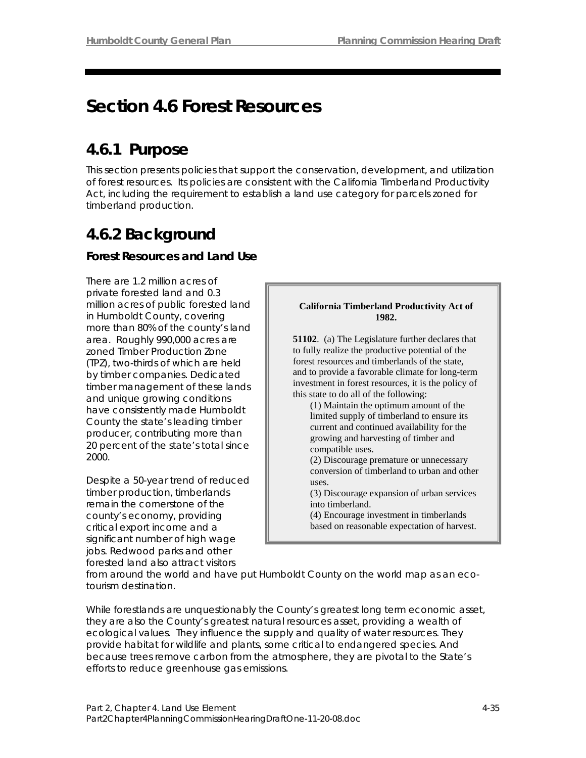# **Section 4.6 Forest Resources**

## **4.6.1 Purpose**

This section presents policies that support the conservation, development, and utilization of forest resources. Its policies are consistent with the California Timberland Productivity Act, including the requirement to establish a land use category for parcels zoned for timberland production.

# **4.6.2 Background**

## **Forest Resources and Land Use**

There are 1.2 million acres of private forested land and 0.3 million acres of public forested land in Humboldt County, covering more than 80% of the county's land area. Roughly 990,000 acres are zoned Timber Production Zone (TPZ), two-thirds of which are held by timber companies. Dedicated timber management of these lands and unique growing conditions have consistently made Humboldt County the state's leading timber producer, contributing more than 20 percent of the state's total since 2000.

Despite a 50-year trend of reduced timber production, timberlands remain the cornerstone of the county's economy, providing critical export income and a significant number of high wage jobs. Redwood parks and other forested land also attract visitors



from around the world and have put Humboldt County on the world map as an ecotourism destination.

While forestlands are unquestionably the County's greatest long term economic asset, they are also the County's greatest natural resources asset, providing a wealth of ecological values. They influence the supply and quality of water resources. They provide habitat for wildlife and plants, some critical to endangered species. And because trees remove carbon from the atmosphere, they are pivotal to the State's efforts to reduce greenhouse gas emissions.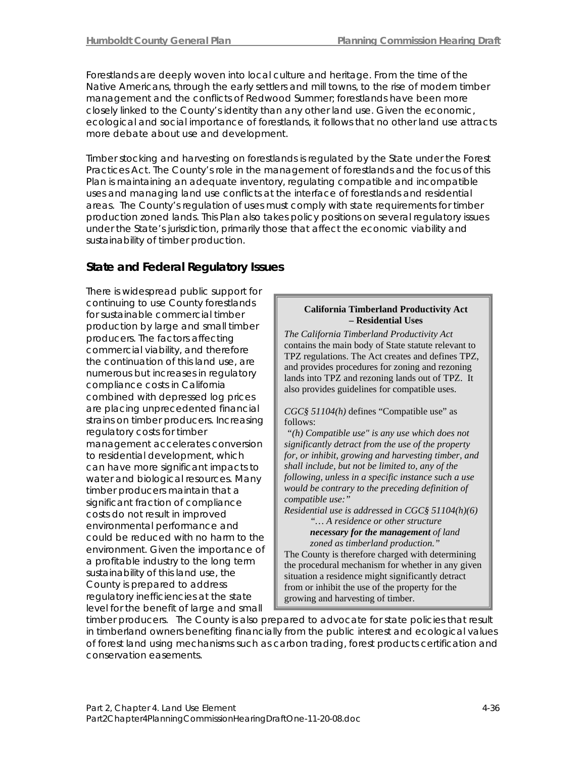Forestlands are deeply woven into local culture and heritage. From the time of the Native Americans, through the early settlers and mill towns, to the rise of modern timber management and the conflicts of Redwood Summer; forestlands have been more closely linked to the County's identity than any other land use. Given the economic, ecological and social importance of forestlands, it follows that no other land use attracts more debate about use and development.

Timber stocking and harvesting on forestlands is regulated by the State under the Forest Practices Act. The County's role in the management of forestlands and the focus of this Plan is maintaining an adequate inventory, regulating compatible and incompatible uses and managing land use conflicts at the interface of forestlands and residential areas. The County's regulation of uses must comply with state requirements for timber production zoned lands. This Plan also takes policy positions on several regulatory issues under the State's jurisdiction, primarily those that affect the economic viability and sustainability of timber production.

## **State and Federal Regulatory Issues**

There is widespread public support for continuing to use County forestlands for sustainable commercial timber production by large and small timber producers. The factors affecting commercial viability, and therefore the continuation of this land use, are numerous but increases in regulatory compliance costs in California combined with depressed log prices are placing unprecedented financial strains on timber producers. Increasing regulatory costs for timber management accelerates conversion to residential development, which can have more significant impacts to water and biological resources. Many timber producers maintain that a significant fraction of compliance costs do not result in improved environmental performance and could be reduced with no harm to the environment. Given the importance of a profitable industry to the long term sustainability of this land use, the County is prepared to address regulatory inefficiencies at the state level for the benefit of large and small

#### **California Timberland Productivity Act – Residential Uses**

*The California Timberland Productivity Act*  contains the main body of State statute relevant to TPZ regulations. The Act creates and defines TPZ, and provides procedures for zoning and rezoning lands into TPZ and rezoning lands out of TPZ. It also provides guidelines for compatible uses.

#### *CGC§ 51104(h)* defines "Compatible use" as follows:

*"(h) Compatible use" is any use which does not significantly detract from the use of the property for, or inhibit, growing and harvesting timber, and shall include, but not be limited to, any of the following, unless in a specific instance such a use would be contrary to the preceding definition of compatible use:"* 

*Residential use is addressed in CGC§ 51104(h)(6)*

*"… A residence or other structure necessary for the management of land*

*zoned as timberland production."* The County is therefore charged with determining the procedural mechanism for whether in any given situation a residence might significantly detract from or inhibit the use of the property for the growing and harvesting of timber.

timber producers. The County is also prepared to advocate for state policies that result in timberland owners benefiting financially from the public interest and ecological values of forest land using mechanisms such as carbon trading, forest products certification and conservation easements.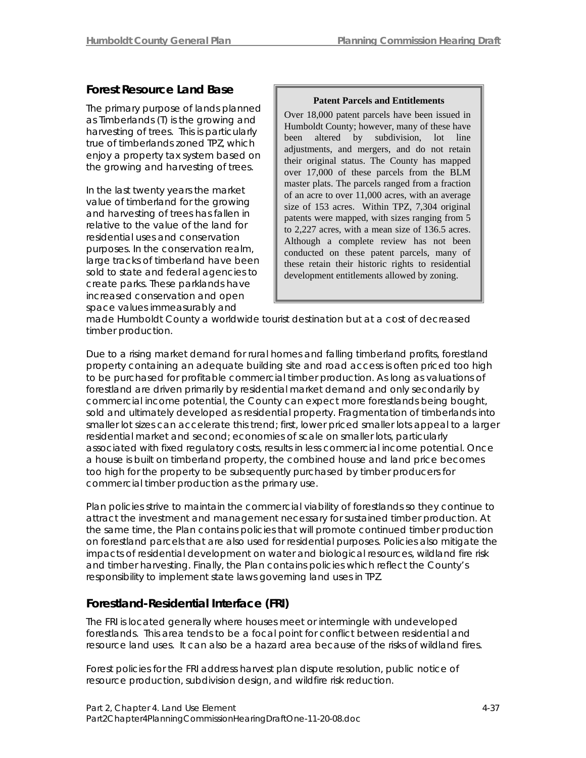## **Forest Resource Land Base**

The primary purpose of lands planned as Timberlands (T) is the growing and harvesting of trees. This is particularly true of timberlands zoned TPZ, which enjoy a property tax system based on the growing and harvesting of trees.

In the last twenty years the market value of timberland for the growing and harvesting of trees has fallen in relative to the value of the land for residential uses and conservation purposes. In the conservation realm, large tracks of timberland have been sold to state and federal agencies to create parks. These parklands have increased conservation and open space values immeasurably and

#### **Patent Parcels and Entitlements**

Over 18,000 patent parcels have been issued in Humboldt County; however, many of these have been altered by subdivision, lot line adjustments, and mergers, and do not retain their original status. The County has mapped over 17,000 of these parcels from the BLM master plats. The parcels ranged from a fraction of an acre to over 11,000 acres, with an average size of 153 acres. Within TPZ, 7,304 original patents were mapped, with sizes ranging from 5 to 2,227 acres, with a mean size of 136.5 acres. Although a complete review has not been conducted on these patent parcels, many of these retain their historic rights to residential development entitlements allowed by zoning.

made Humboldt County a worldwide tourist destination but at a cost of decreased timber production.

Due to a rising market demand for rural homes and falling timberland profits, forestland property containing an adequate building site and road access is often priced too high to be purchased for profitable commercial timber production. As long as valuations of forestland are driven primarily by residential market demand and only secondarily by commercial income potential, the County can expect more forestlands being bought, sold and ultimately developed as residential property. Fragmentation of timberlands into smaller lot sizes can accelerate this trend; first, lower priced smaller lots appeal to a larger residential market and second; economies of scale on smaller lots, particularly associated with fixed regulatory costs, results in less commercial income potential. Once a house is built on timberland property, the combined house and land price becomes too high for the property to be subsequently purchased by timber producers for commercial timber production as the primary use.

Plan policies strive to maintain the commercial viability of forestlands so they continue to attract the investment and management necessary for sustained timber production. At the same time, the Plan contains policies that will promote continued timber production on forestland parcels that are also used for residential purposes. Policies also mitigate the impacts of residential development on water and biological resources, wildland fire risk and timber harvesting. Finally, the Plan contains policies which reflect the County's responsibility to implement state laws governing land uses in TPZ.

## **Forestland-Residential Interface (FRI)**

The FRI is located generally where houses meet or intermingle with undeveloped forestlands. This area tends to be a focal point for conflict between residential and resource land uses. It can also be a hazard area because of the risks of wildland fires.

Forest policies for the FRI address harvest plan dispute resolution, public notice of resource production, subdivision design, and wildfire risk reduction.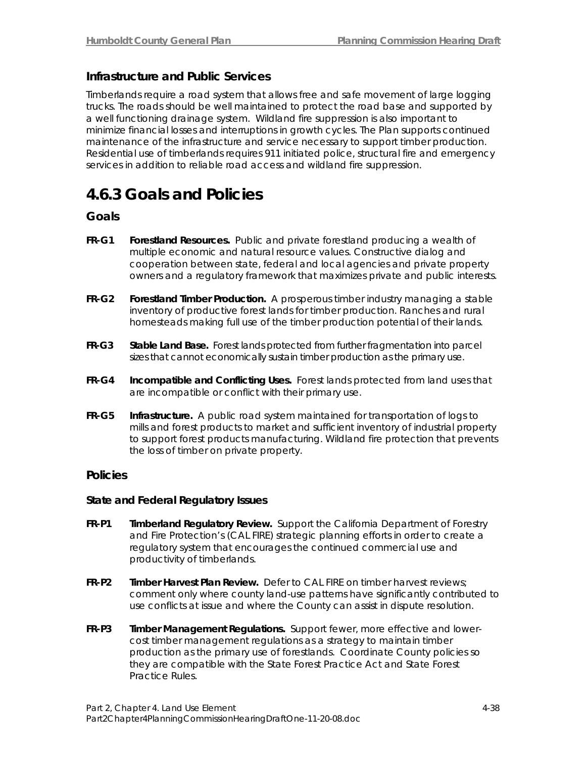## **Infrastructure and Public Services**

Timberlands require a road system that allows free and safe movement of large logging trucks. The roads should be well maintained to protect the road base and supported by a well functioning drainage system. Wildland fire suppression is also important to minimize financial losses and interruptions in growth cycles. The Plan supports continued maintenance of the infrastructure and service necessary to support timber production. Residential use of timberlands requires 911 initiated police, structural fire and emergency services in addition to reliable road access and wildland fire suppression.

## **4.6.3 Goals and Policies**

### **Goals**

- **FR-G1 Forestland Resources.** Public and private forestland producing a wealth of multiple economic and natural resource values. Constructive dialog and cooperation between state, federal and local agencies and private property owners and a regulatory framework that maximizes private and public interests.
- **FR-G2 Forestland Timber Production.** A prosperous timber industry managing a stable inventory of productive forest lands for timber production. Ranches and rural homesteads making full use of the timber production potential of their lands.
- **FR-G3 Stable Land Base.** Forest lands protected from further fragmentation into parcel sizes that cannot economically sustain timber production as the primary use.
- **FR-G4 Incompatible and Conflicting Uses.** Forest lands protected from land uses that are incompatible or conflict with their primary use.
- **FR-G5 Infrastructure.** A public road system maintained for transportation of logs to mills and forest products to market and sufficient inventory of industrial property to support forest products manufacturing. Wildland fire protection that prevents the loss of timber on private property.

### **Policies**

#### **State and Federal Regulatory Issues**

- **FR-P1 Timberland Regulatory Review.** Support the California Department of Forestry and Fire Protection's (CAL FIRE) strategic planning efforts in order to create a regulatory system that encourages the continued commercial use and productivity of timberlands.
- **FR-P2 Timber Harvest Plan Review.** Defer to CAL FIRE on timber harvest reviews; comment only where county land-use patterns have significantly contributed to use conflicts at issue and where the County can assist in dispute resolution.
- **FR-P3 Timber Management Regulations.** Support fewer, more effective and lowercost timber management regulations as a strategy to maintain timber production as the primary use of forestlands. Coordinate County policies so they are compatible with the State Forest Practice Act and State Forest Practice Rules.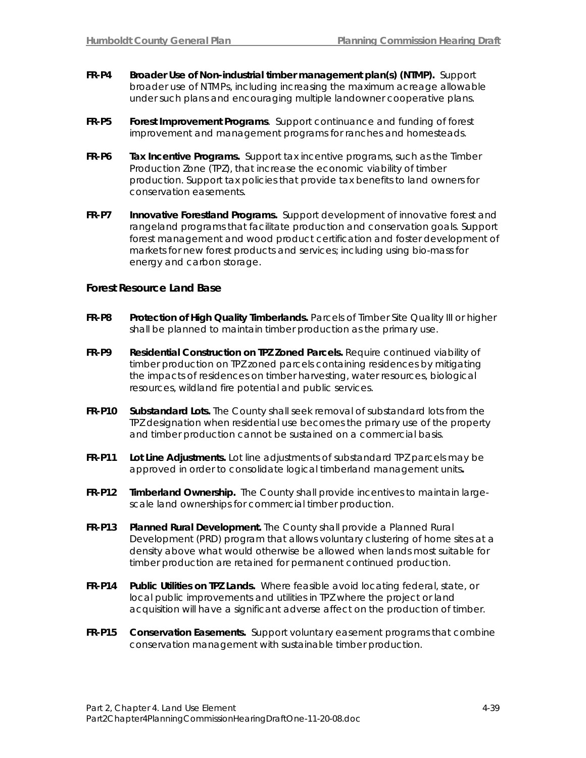- **FR-P4 Broader Use of Non-industrial timber management plan(s) (NTMP).** Support broader use of NTMPs, including increasing the maximum acreage allowable under such plans and encouraging multiple landowner cooperative plans.
- **FR-P5 Forest Improvement Programs**. Support continuance and funding of forest improvement and management programs for ranches and homesteads.
- **FR-P6 Tax Incentive Programs.** Support tax incentive programs, such as the Timber Production Zone (TPZ), that increase the economic viability of timber production. Support tax policies that provide tax benefits to land owners for conservation easements.
- **FR-P7 Innovative Forestland Programs.** Support development of innovative forest and rangeland programs that facilitate production and conservation goals. Support forest management and wood product certification and foster development of markets for new forest products and services; including using bio-mass for energy and carbon storage.

#### **Forest Resource Land Base**

- FR-P8 Protection of High Quality Timberlands. Parcels of Timber Site Quality III or higher shall be planned to maintain timber production as the primary use.
- **FR-P9 Residential Construction on TPZ Zoned Parcels.** Require continued viability of timber production on TPZ zoned parcels containing residences by mitigating the impacts of residences on timber harvesting, water resources, biological resources, wildland fire potential and public services.
- **FR-P10 Substandard Lots.** The County shall seek removal of substandard lots from the TPZ designation when residential use becomes the primary use of the property and timber production cannot be sustained on a commercial basis.
- **FR-P11 Lot Line Adjustments.** Lot line adjustments of substandard TPZ parcels may be approved in order to consolidate logical timberland management units**.**
- **FR-P12 Timberland Ownership.** The County shall provide incentives to maintain largescale land ownerships for commercial timber production.
- **FR-P13 Planned Rural Development.** The County shall provide a Planned Rural Development (PRD) program that allows voluntary clustering of home sites at a density above what would otherwise be allowed when lands most suitable for timber production are retained for permanent continued production.
- **FR-P14 Public Utilities on TPZ Lands.** Where feasible avoid locating federal, state, or local public improvements and utilities in TPZ where the project or land acquisition will have a significant adverse affect on the production of timber.
- **FR-P15 Conservation Easements.** Support voluntary easement programs that combine conservation management with sustainable timber production.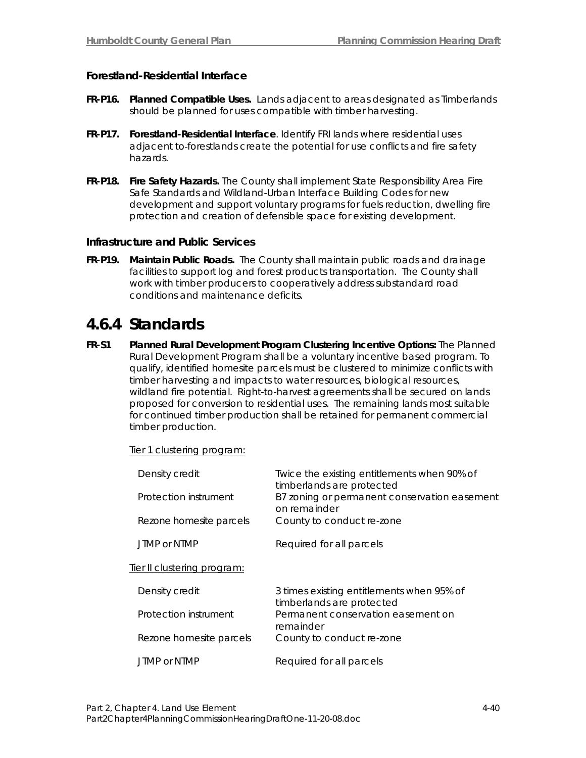### **Forestland-Residential Interface**

- **FR-P16. Planned Compatible Uses.** Lands adjacent to areas designated as Timberlands should be planned for uses compatible with timber harvesting.
- **FR-P17. Forestland-Residential Interface**. Identify FRI lands where residential uses adjacent to forestlands create the potential for use conflicts and fire safety hazards.
- **FR-P18. Fire Safety Hazards.** The County shall implement State Responsibility Area Fire Safe Standards and Wildland-Urban Interface Building Codes for new development and support voluntary programs for fuels reduction, dwelling fire protection and creation of defensible space for existing development.

#### **Infrastructure and Public Services**

**FR-P19. Maintain Public Roads.** The County shall maintain public roads and drainage facilities to support log and forest products transportation. The County shall work with timber producers to cooperatively address substandard road conditions and maintenance deficits.

## **4.6.4 Standards**

**FR-S1 Planned Rural Development Program Clustering Incentive Options:** The Planned Rural Development Program shall be a voluntary incentive based program. To qualify, identified homesite parcels must be clustered to minimize conflicts with timber harvesting and impacts to water resources, biological resources, wildland fire potential. Right-to-harvest agreements shall be secured on lands proposed for conversion to residential uses. The remaining lands most suitable for continued timber production shall be retained for permanent commercial timber production.

Tier 1 clustering program:

| Density credit<br><i>Protection</i> instrument | Twice the existing entitlements when 90% of<br>timberlands are protected<br>B7 zoning or permanent conservation easement |
|------------------------------------------------|--------------------------------------------------------------------------------------------------------------------------|
| Rezone homesite parcels                        | on remainder<br>County to conduct re-zone                                                                                |
| JTMP or NTMP                                   | Required for all parcels                                                                                                 |
| Tier II clustering program:                    |                                                                                                                          |
| Density credit                                 | 3 times existing entitlements when 95% of<br>timberlands are protected                                                   |
| <i>Protection</i> instrument                   | Permanent conservation easement on<br>remainder                                                                          |
| Rezone <i>homesite</i> parcels                 | County to conduct re-zone                                                                                                |
| JTMP or NTMP                                   | Required for all parcels                                                                                                 |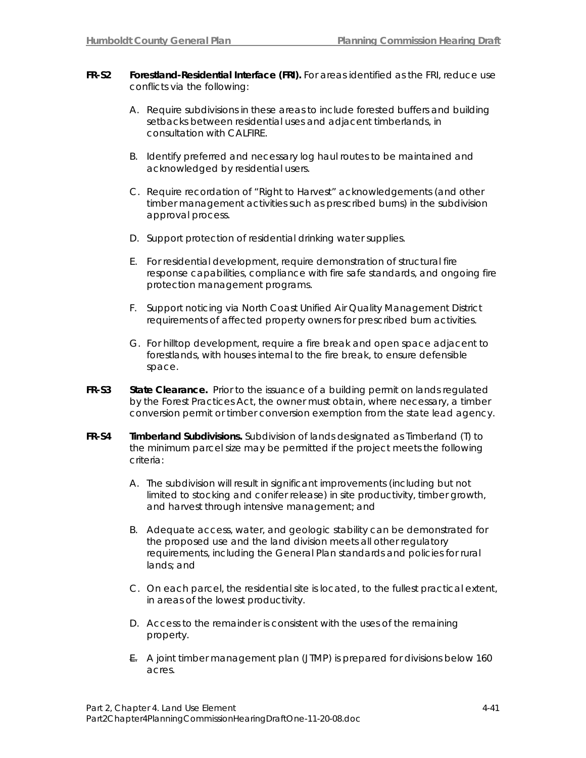- **FR-S2 Forestland-Residential Interface (FRI).** For areas identified as the FRI, reduce use conflicts via the following:
	- A. Require subdivisions in these areas to include forested buffers and building setbacks between residential uses and adjacent timberlands, in consultation with CALFIRE.
	- B. Identify preferred and necessary log haul routes to be maintained and acknowledged by residential users.
	- C. Require recordation of "Right to Harvest" acknowledgements (and other timber management activities such as prescribed burns) in the subdivision approval process.
	- D. Support protection of residential drinking water supplies.
	- E. For residential development, require demonstration of structural fire response capabilities, compliance with fire safe standards, and ongoing fire protection management programs.
	- F. Support noticing via North Coast Unified Air Quality Management District requirements of affected property owners for prescribed burn activities.
	- G. For hilltop development, require a fire break and open space adjacent to forestlands, with houses internal to the fire break, to ensure defensible space.
- FR-S3 State Clearance. Prior to the issuance of a building permit on lands regulated by the Forest Practices Act, the owner must obtain, where necessary, a timber conversion permit or timber conversion exemption from the state lead agency.
- **FR-S4 Timberland Subdivisions.** Subdivision of lands designated as Timberland (T) to the minimum parcel size may be permitted if the project meets the following criteria:
	- A. The subdivision will result in significant improvements (including but not limited to stocking and conifer release) in site productivity, timber growth, and harvest through intensive management; and
	- B. Adequate access, water, and geologic stability can be demonstrated for the proposed use and the land division meets all other regulatory requirements, including the General Plan standards and policies for rural lands; and
	- C. On each parcel, the residential site is located, to the fullest practical extent, in areas of the lowest productivity.
	- D. Access to the remainder is consistent with the uses of the remaining property.
	- E. A joint timber management plan (JTMP) is prepared for divisions below 160 acres.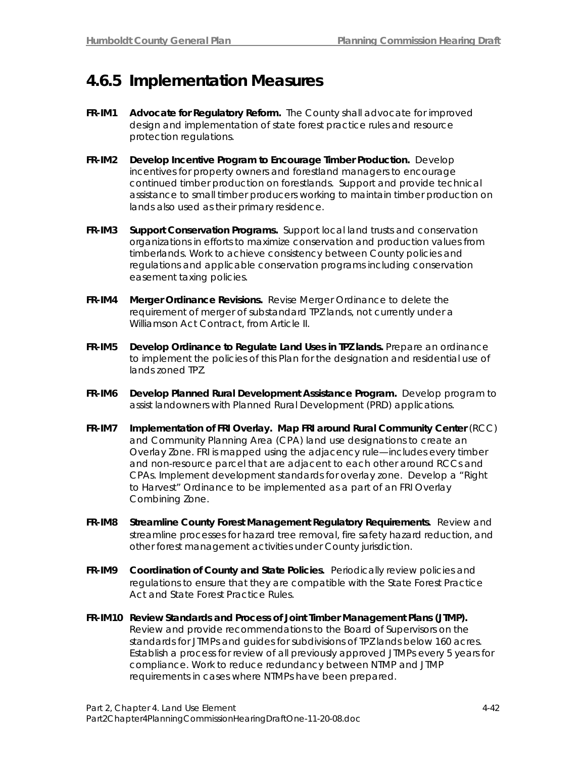## **4.6.5 Implementation Measures**

- **FR-IM1 Advocate for Regulatory Reform.** The County shall advocate for improved design and implementation of state forest practice rules and resource protection regulations.
- **FR-IM2 Develop Incentive Program to Encourage Timber Production.** Develop incentives for property owners and forestland managers to encourage continued timber production on forestlands. Support and provide technical assistance to small timber producers working to maintain timber production on lands also used as their primary residence.
- **FR-IM3 Support Conservation Programs.** Support local land trusts and conservation organizations in efforts to maximize conservation and production values from timberlands. Work to achieve consistency between County policies and regulations and applicable conservation programs including conservation easement taxing policies.
- **FR-IM4 Merger Ordinance Revisions.** Revise Merger Ordinance to delete the requirement of merger of substandard TPZ lands, not currently under a Williamson Act Contract, from Article II.
- **FR-IM5 Develop Ordinance to Regulate Land Uses in TPZ lands.** Prepare an ordinance to implement the policies of this Plan for the designation and residential use of lands zoned TPZ.
- **FR-IM6 Develop Planned Rural Development Assistance Program.** Develop program to assist landowners with Planned Rural Development (PRD) applications.
- **FR-IM7 Implementation of FRI Overlay. Map FRI around Rural Community Center** (RCC) and Community Planning Area (CPA) land use designations to create an Overlay Zone. FRI is mapped using the adjacency rule—includes every timber and non-resource parcel that are adjacent to each other around RCCs and CPAs. Implement development standards for overlay zone. Develop a "Right to Harvest" Ordinance to be implemented as a part of an FRI Overlay Combining Zone.
- **FR-IM8 Streamline County Forest Management Regulatory Requirements.** Review and streamline processes for hazard tree removal, fire safety hazard reduction, and other forest management activities under County jurisdiction.
- **FR-IM9 Coordination of County and State Policies.** Periodically review policies and regulations to ensure that they are compatible with the State Forest Practice Act and State Forest Practice Rules.
- **FR-IM10 Review Standards and Process of Joint Timber Management Plans (JTMP).** Review and provide recommendations to the Board of Supervisors on the standards for JTMPs and guides for subdivisions of TPZ lands below 160 acres. Establish a process for review of all previously approved JTMPs every 5 years for compliance. Work to reduce redundancy between NTMP and JTMP requirements in cases where NTMPs have been prepared.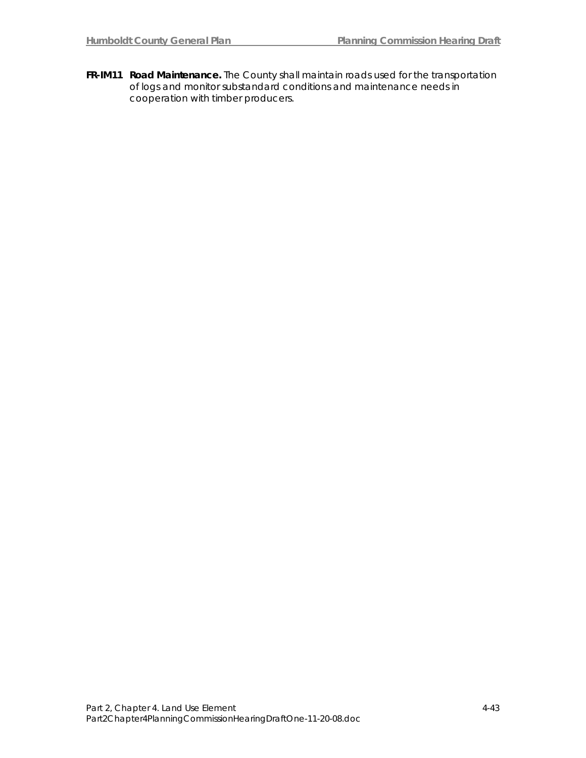**FR-IM11 Road Maintenance.** The County shall maintain roads used for the transportation of logs and monitor substandard conditions and maintenance needs in cooperation with timber producers.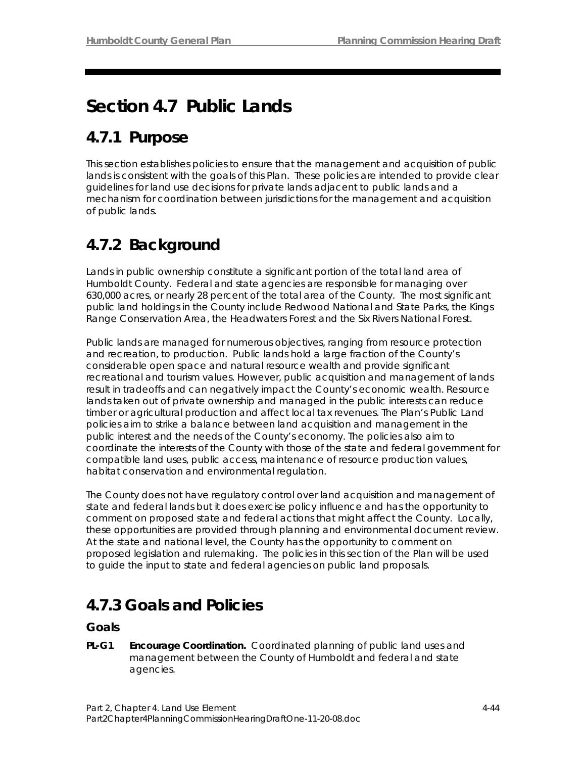# **Section 4.7 Public Lands**

## **4.7.1 Purpose**

This section establishes policies to ensure that the management and acquisition of public lands is consistent with the goals of this Plan. These policies are intended to provide clear guidelines for land use decisions for private lands adjacent to public lands and a mechanism for coordination between jurisdictions for the management and acquisition of public lands.

# **4.7.2 Background**

Lands in public ownership constitute a significant portion of the total land area of Humboldt County. Federal and state agencies are responsible for managing over 630,000 acres, or nearly 28 percent of the total area of the County. The most significant public land holdings in the County include Redwood National and State Parks, the Kings Range Conservation Area, the Headwaters Forest and the Six Rivers National Forest.

Public lands are managed for numerous objectives, ranging from resource protection and recreation, to production. Public lands hold a large fraction of the County's considerable open space and natural resource wealth and provide significant recreational and tourism values. However, public acquisition and management of lands result in tradeoffs and can negatively impact the County's economic wealth. Resource lands taken out of private ownership and managed in the public interests can reduce timber or agricultural production and affect local tax revenues. The Plan's Public Land policies aim to strike a balance between land acquisition and management in the public interest and the needs of the County's economy. The policies also aim to coordinate the interests of the County with those of the state and federal government for compatible land uses, public access, maintenance of resource production values, habitat conservation and environmental regulation.

The County does not have regulatory control over land acquisition and management of state and federal lands but it does exercise policy influence and has the opportunity to comment on proposed state and federal actions that might affect the County. Locally, these opportunities are provided through planning and environmental document review. At the state and national level, the County has the opportunity to comment on proposed legislation and rulemaking. The policies in this section of the Plan will be used to guide the input to state and federal agencies on public land proposals.

## **4.7.3 Goals and Policies**

## **Goals**

**PL-G1 Encourage Coordination.** Coordinated planning of public land uses and management between the County of Humboldt and federal and state agencies.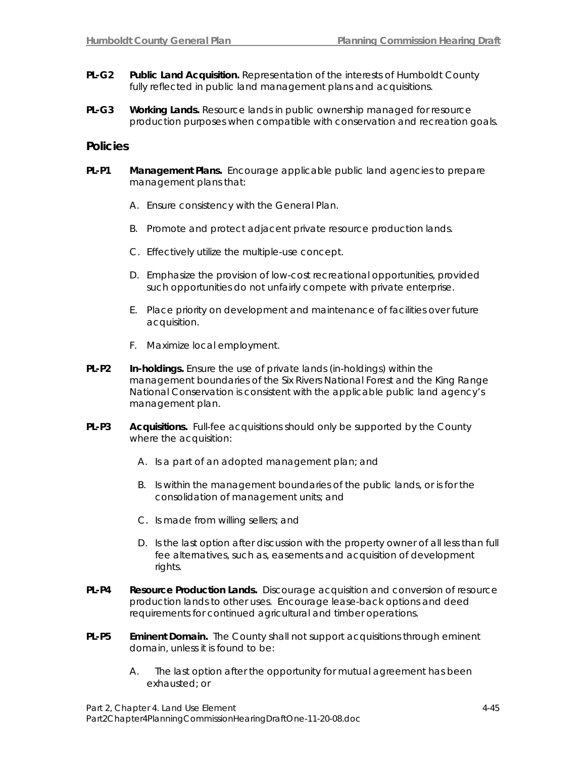- **PL-G2 Public Land Acquisition.** Representation of the interests of Humboldt County fully reflected in public land management plans and acquisitions.
- **PL-G3 Working Lands.** Resource lands in public ownership managed for resource production purposes when compatible with conservation and recreation goals.

### **Policies**

- **PL-P1 Management Plans.** Encourage applicable public land agencies to prepare management plans that:
	- A. Ensure consistency with the General Plan.
	- B. Promote and protect adjacent private resource production lands.
	- C. Effectively utilize the multiple-use concept.
	- D. Emphasize the provision of low-cost recreational opportunities, provided such opportunities do not unfairly compete with private enterprise.
	- E. Place priority on development and maintenance of facilities over future acquisition.
	- F. Maximize local employment.
- **PL-P2 In-holdings.** Ensure the use of private lands (in-holdings) within the management boundaries of the Six Rivers National Forest and the King Range National Conservation is consistent with the applicable public land agency's management plan.
- **PL-P3 Acquisitions.** Full-fee acquisitions should only be supported by the County where the acquisition:
	- A. Is a part of an adopted management plan; and
	- B. Is within the management boundaries of the public lands, or is for the consolidation of management units; and
	- C. Is made from willing sellers; and
	- D. Is the last option after discussion with the property owner of all less than full fee alternatives, such as, easements and acquisition of development rights.
- **PL-P4 Resource Production Lands.** Discourage acquisition and conversion of resource production lands to other uses. Encourage lease-back options and deed requirements for continued agricultural and timber operations.
- **PL-P5 Eminent Domain.** The County shall not support acquisitions through eminent domain, unless it is found to be:
	- A. The last option after the opportunity for mutual agreement has been exhausted; or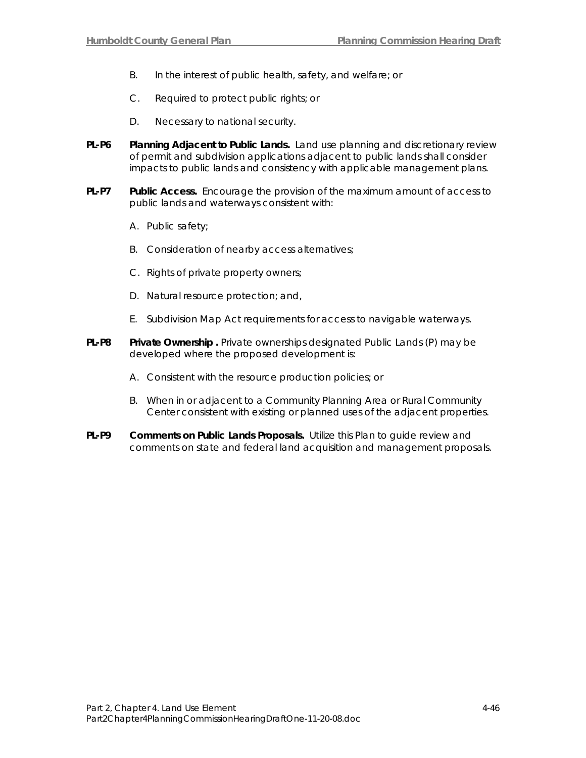- B. In the interest of public health, safety, and welfare; or
- C. Required to protect public rights; or
- D. Necessary to national security.
- **PL-P6 Planning Adjacent to Public Lands.** Land use planning and discretionary review of permit and subdivision applications adjacent to public lands shall consider impacts to public lands and consistency with applicable management plans.
- **PL-P7 Public Access.** Encourage the provision of the maximum amount of access to public lands and waterways consistent with:
	- A. Public safety;
	- B. Consideration of nearby access alternatives;
	- C. Rights of private property owners;
	- D. Natural resource protection; and,
	- E. Subdivision Map Act requirements for access to navigable waterways.
- **PL-P8** Private Ownership . Private ownerships designated Public Lands (P) may be developed where the proposed development is:
	- A. Consistent with the resource production policies; or
	- B. When in or adjacent to a Community Planning Area or Rural Community Center consistent with existing or planned uses of the adjacent properties.
- **PL-P9 Comments on Public Lands Proposals.** Utilize this Plan to guide review and comments on state and federal land acquisition and management proposals.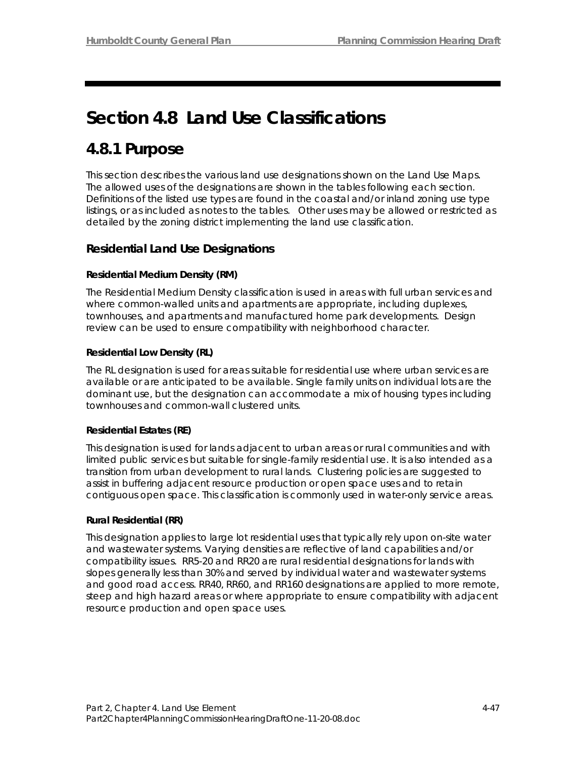# **Section 4.8 Land Use Classifications**

## **4.8.1 Purpose**

This section describes the various land use designations shown on the Land Use Maps. The allowed uses of the designations are shown in the tables following each section. Definitions of the listed use types are found in the coastal and/or inland zoning use type listings, or as included as notes to the tables. Other uses may be allowed or restricted as detailed by the zoning district implementing the land use classification.

## *Residential Land Use Designations*

## *Residential Medium Density (RM)*

The Residential Medium Density *c*lassification is used in areas with full urban services and where common-walled units and apartments are appropriate, including duplexes, townhouses, and apartments and manufactured home park developments. Design review can be used to ensure compatibility with neighborhood character.

## *Residential Low Density (RL)*

The RL designation is used for areas suitable for residential use where urban services are available or are anticipated to be available. Single family units on individual lots are the dominant use, but the designation can accommodate a mix of housing types including townhouses and common-wall clustered units.

### *Residential Estates (RE)*

This designation is used for lands adjacent to urban areas or rural communities and with limited public services but suitable for single-family residential use. It is also intended as a transition from urban development to rural lands. Clustering policies are suggested to assist in buffering adjacent resource production or open space uses and to retain contiguous open space. This classification is commonly used in water-only service areas.

### *Rural Residential (RR)*

This designation applies to large lot residential uses that typically rely upon on-site water and wastewater systems. Varying densities are reflective of land capabilities and/or compatibility issues. RR5-20 and RR20 are rural residential designations for lands with slopes generally less than 30% and served by individual water and wastewater systems and good road access. RR40, RR60, and RR160 designations are applied to more remote, steep and high hazard areas or where appropriate to ensure compatibility with adjacent resource production and open space uses.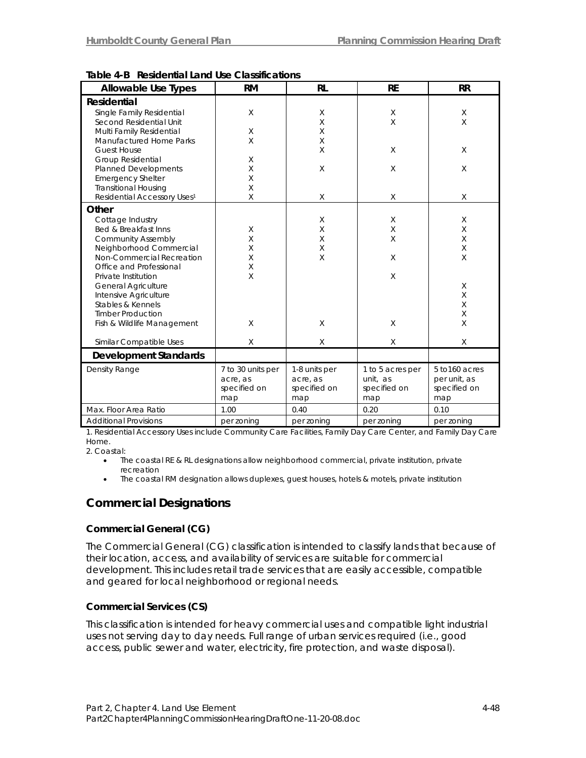| Allowable Use Types                     | <b>RM</b>         | <b>RL</b>     | <b>RE</b>        | <b>RR</b>      |
|-----------------------------------------|-------------------|---------------|------------------|----------------|
| Residential                             |                   |               |                  |                |
| Single Family Residential               | $\times$          | X             | X                | X              |
| Second Residential Unit                 |                   | X             | X                | $\sf X$        |
| Multi Family Residential                | X                 | X             |                  |                |
| <b>Manufactured Home Parks</b>          | X                 | X             |                  |                |
| <b>Guest House</b>                      |                   | X             | X                | X              |
| <b>Group Residential</b>                | X                 |               |                  |                |
| <b>Planned Developments</b>             | X                 | X             | X                | X              |
| <b>Emergency Shelter</b>                | X                 |               |                  |                |
| <b>Transitional Housing</b>             | X                 |               |                  |                |
| Residential Accessory Uses <sup>1</sup> | X                 | X             | X                | X              |
| Other                                   |                   |               |                  |                |
| Cottage Industry                        |                   | X             | X                | X              |
| Bed & Breakfast Inns                    | X                 | X             | X                | X              |
| <b>Community Assembly</b>               | X                 | X             | X                | X              |
| Neighborhood Commercial                 | Χ                 | X             |                  | X              |
| Non-Commercial Recreation               | X                 | X             | X                | X              |
| Office and Professional                 | $\times$          |               |                  |                |
| Private Institution                     | $\times$          |               | X                |                |
| <b>General Agriculture</b>              |                   |               |                  | X              |
| Intensive Agriculture                   |                   |               |                  | X              |
| Stables & Kennels                       |                   |               |                  | X              |
| <b>Timber Production</b>                |                   |               |                  | X              |
| Fish & Wildlife Management              | $\times$          | X             | X                | X              |
| Similar Compatible Uses                 | X                 | X             | X                | X              |
| <b>Development Standards</b>            |                   |               |                  |                |
| Density Range                           | 7 to 30 units per | 1-8 units per | 1 to 5 acres per | 5 to 160 acres |
|                                         | acre, as          | acre, as      | unit, as         | per unit, as   |
|                                         | specified on      | specified on  | specified on     | specified on   |
|                                         | map               | map           | map              | map            |
| Max. Floor Area Ratio                   | 1.00              | 0.40          | 0.20             | 0.10           |
| <b>Additional Provisions</b>            | per zoning        | per zoning    | per zoning       | per zoning     |

**Table 4-B Residential Land Use Classifications** 

1. Residential Accessory Uses include Community Care Facilities, Family Day Care Center, and Family Day Care Home.

2. Coastal:

- The coastal RE & RL designations allow neighborhood commercial, private institution, private recreation
- The coastal RM designation allows duplexes, guest houses, hotels & motels, private institution

## *Commercial Designations*

### *Commercial General (CG)*

The Commercial General (CG) classification is intended to classify lands that because of their location, access, and availability of services are suitable for commercial development. This includes retail trade services that are easily accessible, compatible and geared for local neighborhood or regional needs.

### *Commercial Services (CS)*

This classification is intended for heavy commercial uses and compatible light industrial uses not serving day to day needs. Full range of urban services required (i.e., good access, public sewer and water, electricity, fire protection, and waste disposal).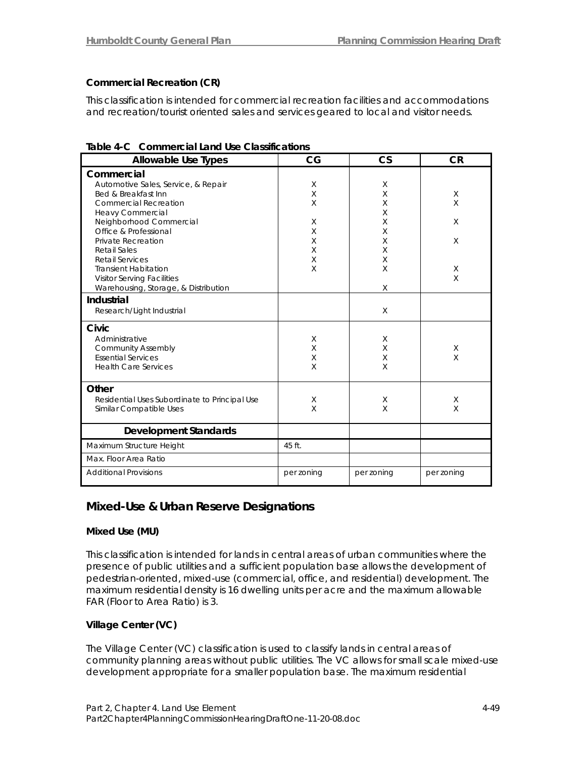## *Commercial Recreation (CR)*

This classification is intended for commercial recreation facilities and accommodations and recreation/tourist oriented sales and services geared to local and visitor needs.

| <b>Allowable Use Types</b>                    | CG         | $\mathsf{CS}$ | <b>CR</b>  |
|-----------------------------------------------|------------|---------------|------------|
| Commercial                                    |            |               |            |
| Automotive Sales, Service, & Repair           | X          | X             |            |
| Bed & Breakfast Inn                           | X          | X             | X          |
| <b>Commercial Recreation</b>                  | X          | X             | X          |
| <b>Heavy Commercial</b>                       |            | X             |            |
| Neighborhood Commercial                       | X          | X             | X          |
| Office & Professional                         | X          | X             |            |
| Private Recreation                            | X          | X             | X          |
| <b>Retail Sales</b>                           | X          | X             |            |
| <b>Retail Services</b>                        | X          | X             |            |
| <b>Transient Habitation</b>                   | X          | X             | Χ          |
| <b>Visitor Serving Facilities</b>             |            |               | X          |
| Warehousing, Storage, & Distribution          |            | X             |            |
| Industrial                                    |            |               |            |
| Research/Light Industrial                     |            | $\times$      |            |
| Civic                                         |            |               |            |
| Administrative                                | X          | X             |            |
| <b>Community Assembly</b>                     | X          | X             | X          |
| <b>Essential Services</b>                     | X          | X             | X          |
| <b>Health Care Services</b>                   | X          | X             |            |
| Other                                         |            |               |            |
| Residential Uses Subordinate to Principal Use | X          | X             | X          |
| Similar Compatible Uses                       | $\times$   | $\times$      | $\times$   |
| <b>Development Standards</b>                  |            |               |            |
|                                               |            |               |            |
| Maximum Structure Height                      | 45 ft.     |               |            |
| Max. Floor Area Ratio                         |            |               |            |
| <b>Additional Provisions</b>                  | per zoning | per zoning    | per zoning |

**Table 4-C Commercial Land Use Classifications** 

## *Mixed-Use & Urban Reserve Designations*

### *Mixed Use (MU)*

This classification is intended for lands in central areas of urban communities where the presence of public utilities and a sufficient population base allows the development of pedestrian-oriented, mixed-use (commercial, office, and residential) development. The maximum residential density is 16 dwelling units per acre and the maximum allowable FAR (Floor to Area Ratio) is 3.

## *Village Center (VC)*

The Village Center (VC) classification is used to classify lands in central areas of community planning areas without public utilities. The VC allows for small scale mixed-use development appropriate for a smaller population base. The maximum residential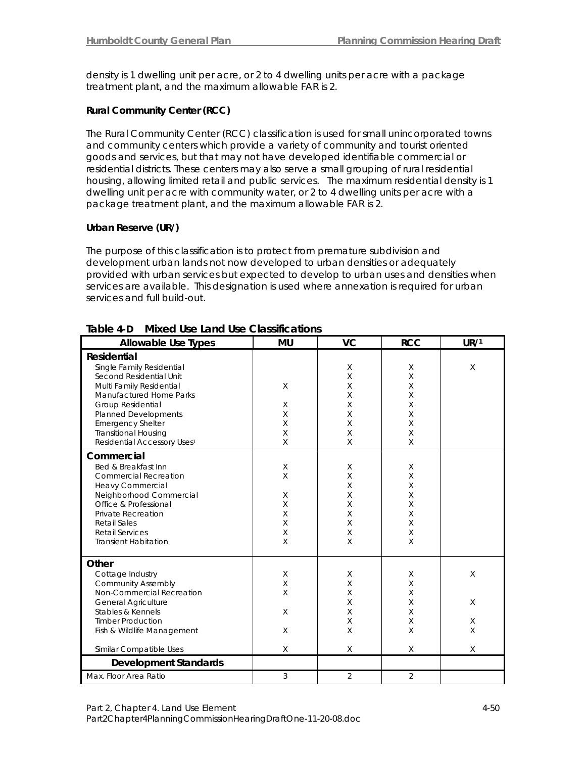density is 1 dwelling unit per acre, or 2 to 4 dwelling units per acre with a package treatment plant, and the maximum allowable FAR is 2.

### *Rural Community Center (RCC)*

The Rural Community Center (RCC) classification is used for small unincorporated towns and community centers which provide a variety of community and tourist oriented goods and services, but that may not have developed identifiable commercial or residential districts. These centers may also serve a small grouping of rural residential housing, allowing limited retail and public services. The maximum residential density is 1 dwelling unit per acre with community water, or 2 to 4 dwelling units per acre with a package treatment plant, and the maximum allowable FAR is 2.

### *Urban Reserve (UR/)*

The purpose of this classification is to protect from premature subdivision and development urban lands not now developed to urban densities or adequately provided with urban services but expected to develop to urban uses and densities when services are available. This designation is used where annexation is required for urban services and full build-out.

| <b>Allowable Use Types</b>                                                                                                                                                                                                                                                           | <b>MU</b>                                  | <b>VC</b>                                                          | <b>RCC</b>                                | UR/1                         |
|--------------------------------------------------------------------------------------------------------------------------------------------------------------------------------------------------------------------------------------------------------------------------------------|--------------------------------------------|--------------------------------------------------------------------|-------------------------------------------|------------------------------|
| Residential<br>Single Family Residential<br>Second Residential Unit<br>Multi Family Residential<br>Manufactured Home Parks<br>Group Residential<br><b>Planned Developments</b><br><b>Emergency Shelter</b><br><b>Transitional Housing</b><br>Residential Accessory Uses <sup>1</sup> | X<br>X<br>X<br>X<br>Χ<br>X                 | X<br>$\sf X$<br>$\sf X$<br>X<br>X<br>$\times$<br>X<br>X<br>$\sf X$ | X<br>X<br>X<br>X<br>X<br>X<br>X<br>Χ<br>X | $\times$                     |
| Commercial<br>Bed & Breakfast Inn<br><b>Commercial Recreation</b><br><b>Heavy Commercial</b><br>Neighborhood Commercial<br>Office & Professional<br>Private Recreation<br><b>Retail Sales</b><br><b>Retail Services</b><br><b>Transient Habitation</b>                               | X<br>$\sf X$<br>X<br>X<br>X<br>X<br>Χ<br>X | X<br>X<br>X<br>X<br>X<br>X<br>X<br>X<br>X                          | X<br>X<br>X<br>X<br>X<br>X<br>X<br>X<br>X |                              |
| Other<br>Cottage Industry<br><b>Community Assembly</b><br>Non-Commercial Recreation<br><b>General Agriculture</b><br>Stables & Kennels<br><b>Timber Production</b><br>Fish & Wildlife Management<br>Similar Compatible Uses                                                          | X<br>X<br>X<br>X<br>X<br>X                 | X<br>X<br>X<br>X<br>X<br>X<br>X<br>X                               | X<br>X<br>X<br>X<br>X<br>X<br>X<br>X      | X<br>X<br>X<br>$\times$<br>X |
| <b>Development Standards</b>                                                                                                                                                                                                                                                         |                                            |                                                                    |                                           |                              |
| Max. Floor Area Ratio                                                                                                                                                                                                                                                                | 3                                          | $\overline{2}$                                                     | $\overline{2}$                            |                              |

### **Table 4-D Mixed Use Land Use Classifications**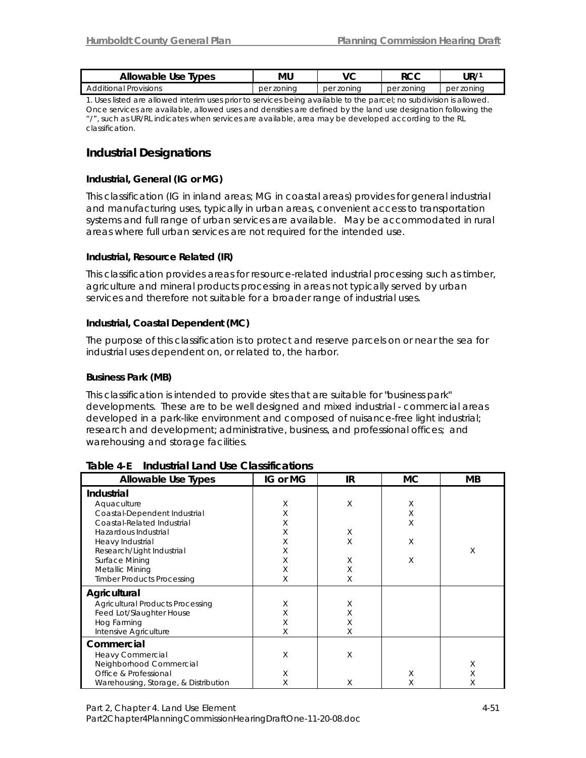| Allowable Use Types          | mu            | vc         | ∩∩ם<br>いしし    | UR,           |
|------------------------------|---------------|------------|---------------|---------------|
| <b>Additional Provisions</b> | zoning<br>per | per zoning | zonina<br>per | zonina<br>per |

1. Uses listed are allowed interim uses prior to services being available to the parcel; no subdivision is allowed. Once services are available, allowed uses and densities are defined by the land use designation following the "/", such as UR/RL indicates when services are available, area may be developed according to the RL classification.

## *Industrial Designations*

### *Industrial, General (IG or MG)*

This classification (IG in inland areas; MG in coastal areas) provides for general industrial and manufacturing uses, typically in urban areas, convenient access to transportation systems and full range of urban services are available. May be accommodated in rural areas where full urban services are not required for the intended use.

#### *Industrial, Resource Related (IR)*

This classification provides areas for resource-related industrial processing such as timber, agriculture and mineral products processing in areas not typically served by urban services and therefore not suitable for a broader range of industrial uses.

### *Industrial, Coastal Dependent (MC)*

The purpose of this classification is to protect and reserve parcels on or near the sea for industrial uses dependent on, or related to, the harbor.

### *Business Park (MB)*

This classification is intended to provide sites that are suitable for "business park" developments. These are to be well designed and mixed industrial - commercial areas developed in a park-like environment and composed of nuisance-free light industrial; research and development; administrative, business, and professional offices; and warehousing and storage facilities.

| <b>Allowable Use Types</b>              | IG or MG | IR | <b>MC</b> | MВ |
|-----------------------------------------|----------|----|-----------|----|
| Industrial                              |          |    |           |    |
| Aquaculture                             | X        | X  | X         |    |
| Coastal-Dependent Industrial            | Χ        |    | X         |    |
| Coastal-Related Industrial              | X        |    | Χ         |    |
| Hazardous Industrial                    | Χ        | X  |           |    |
| Heavy Industrial                        | Χ        | X  | X         |    |
| Research/Light Industrial               | Χ        |    |           | X  |
| Surface Mining                          | Χ        | X  | X         |    |
| Metallic Mining                         | Χ        | Χ  |           |    |
| <b>Timber Products Processing</b>       | Χ        | Χ  |           |    |
| Agricultural                            |          |    |           |    |
| <b>Agricultural Products Processing</b> | X        | Χ  |           |    |
| Feed Lot/Slaughter House                | Χ        | Χ  |           |    |
| Hog Farming                             | X        | Χ  |           |    |
| Intensive Agriculture                   | X        | Χ  |           |    |
| Commercial                              |          |    |           |    |
| <b>Heavy Commercial</b>                 | X        | X  |           |    |
| Neighborhood Commercial                 |          |    |           | Χ  |
| Office & Professional                   | X        |    | X         | Χ  |
| Warehousing, Storage, & Distribution    | Χ        | Χ  | Χ         | Χ  |

### **Table 4-E Industrial Land Use Classifications**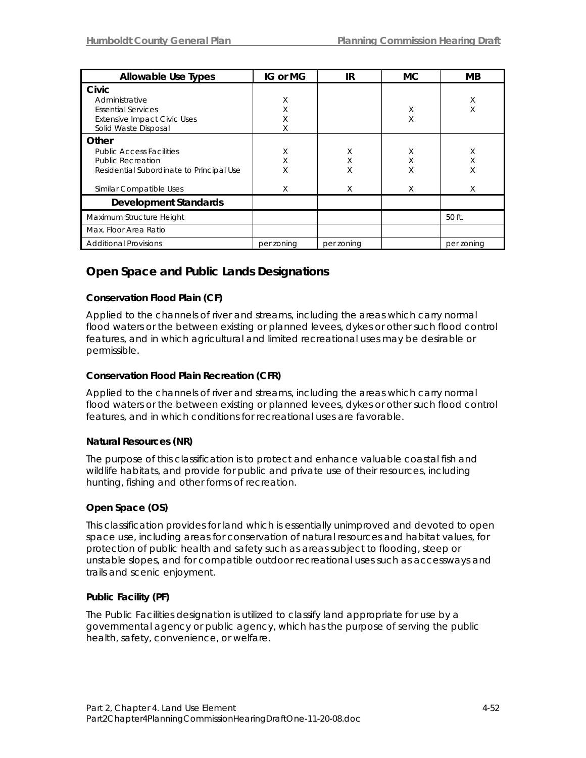| <b>Allowable Use Types</b>                                                                                                                  | IG or MG         | IR               | <b>MC</b>        | MВ               |
|---------------------------------------------------------------------------------------------------------------------------------------------|------------------|------------------|------------------|------------------|
| Civic<br>Administrative<br><b>Essential Services</b><br><b>Extensive Impact Civic Uses</b><br>Solid Waste Disposal                          | X<br>Χ<br>Χ<br>Χ |                  | X<br>Χ           | X<br>X           |
| Other<br><b>Public Access Facilities</b><br><b>Public Recreation</b><br>Residential Subordinate to Principal Use<br>Similar Compatible Uses | X<br>Χ<br>Χ<br>Χ | X<br>Χ<br>Χ<br>X | X<br>Χ<br>X<br>X | X<br>Χ<br>X<br>X |
| <b>Development Standards</b>                                                                                                                |                  |                  |                  |                  |
| Maximum Structure Height                                                                                                                    |                  |                  |                  | 50 ft.           |
| Max. Floor Area Ratio                                                                                                                       |                  |                  |                  |                  |
| <b>Additional Provisions</b>                                                                                                                | per zoning       | per zoning       |                  | per zoning       |

## *Open Space and Public Lands Designations*

## *Conservation Flood Plain (CF)*

Applied to the channels of river and streams, including the areas which carry normal flood waters or the between existing or planned levees, dykes or other such flood control features, and in which agricultural and limited recreational uses may be desirable or permissible.

## *Conservation Flood Plain Recreation (CFR)*

Applied to the channels of river and streams, including the areas which carry normal flood waters or the between existing or planned levees, dykes or other such flood control features, and in which conditions for recreational uses are favorable.

### *Natural Resources (NR)*

The purpose of this classification is to protect and enhance valuable coastal fish and wildlife habitats, and provide for public and private use of their resources, including hunting, fishing and other forms of recreation.

### *Open Space (OS)*

This classification provides for land which is essentially unimproved and devoted to open space use, including areas for conservation of natural resources and habitat values, for protection of public health and safety such as areas subject to flooding, steep or unstable slopes, and for compatible outdoor recreational uses such as accessways and trails and scenic enjoyment.

### *Public Facility (PF)*

The Public Facilities designation is utilized to classify land appropriate for use by a governmental agency or public agency, which has the purpose of serving the public health, safety, convenience, or welfare.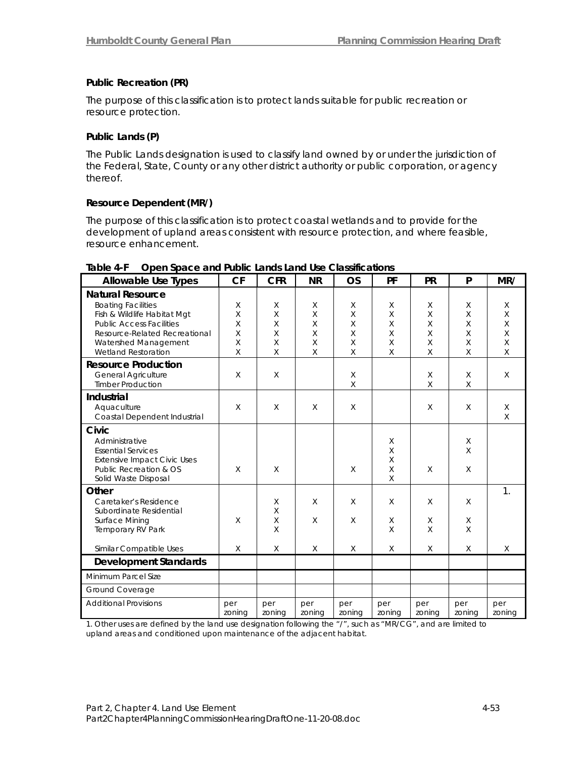## *Public Recreation (PR)*

The purpose of this classification is to protect lands suitable for public recreation or resource protection.

## *Public Lands (P)*

The Public Lands designation is used to classify land owned by or under the jurisdiction of the Federal, State, County or any other district authority or public corporation, or agency thereof.

### *Resource Dependent (MR/)*

The purpose of this classification is to protect coastal wetlands and to provide for the development of upland areas consistent with resource protection, and where feasible, resource enhancement.

| <b>Allowable Use Types</b>                                                                                                                                                                                                                                                | <b>CF</b>                             | <b>CFR</b>                      | <b>NR</b>                                                    | <b>OS</b>                                         | PF                         | <b>PR</b>                                                   | P                                           | MR/                                                                             |
|---------------------------------------------------------------------------------------------------------------------------------------------------------------------------------------------------------------------------------------------------------------------------|---------------------------------------|---------------------------------|--------------------------------------------------------------|---------------------------------------------------|----------------------------|-------------------------------------------------------------|---------------------------------------------|---------------------------------------------------------------------------------|
| <b>Natural Resource</b><br><b>Boating Facilities</b><br>Fish & Wildlife Habitat Mgt<br><b>Public Access Facilities</b><br>Resource-Related Recreational<br>Watershed Management<br><b>Wetland Restoration</b><br><b>Resource Production</b><br><b>General Agriculture</b> | X<br>$\sf X$<br>X<br>X<br>Χ<br>X<br>X | X<br>X<br>X<br>X<br>X<br>X<br>X | $\times$<br>$\sf X$<br>$\times$<br>$\times$<br>$\times$<br>X | X<br>$\sf X$<br>$\sf X$<br>X<br>$\sf X$<br>X<br>X | X<br>X<br>X<br>X<br>X<br>X | $\times$<br>$\times$<br>$\times$<br>$\times$<br>X<br>X<br>X | X<br>$\sf X$<br>$\sf X$<br>X<br>X<br>X<br>X | X<br>$\mathsf{X}$<br>$\mathsf{X}$<br>$\mathsf{X}$<br>$\mathsf X$<br>X<br>$\chi$ |
| <b>Timber Production</b>                                                                                                                                                                                                                                                  |                                       |                                 |                                                              | X                                                 |                            | $\times$                                                    | $\sf X$                                     |                                                                                 |
| Industrial<br>Aquaculture<br>Coastal Dependent Industrial                                                                                                                                                                                                                 | X                                     | X                               | $\times$                                                     | X                                                 |                            | $\times$                                                    | X                                           | X<br>$\times$                                                                   |
| <b>Civic</b><br>Administrative<br><b>Essential Services</b><br><b>Extensive Impact Civic Uses</b><br>Public Recreation & OS<br>Solid Waste Disposal                                                                                                                       | X                                     | X                               |                                                              | X                                                 | Χ<br>X<br>X<br>X<br>X      | $\times$                                                    | Χ<br>Χ<br>X                                 |                                                                                 |
| Other<br>Caretaker's Residence<br>Subordinate Residential<br>Surface Mining<br>Temporary RV Park<br>Similar Compatible Uses                                                                                                                                               | X<br>X                                | X<br>X<br>X<br>X<br>X           | $\times$<br>$\times$<br>X                                    | X<br>X<br>X                                       | X<br>X<br>X<br>X           | X<br>X<br>$\times$<br>X                                     | X<br>X<br>X<br>X                            | 1.<br>X                                                                         |
|                                                                                                                                                                                                                                                                           |                                       |                                 |                                                              |                                                   |                            |                                                             |                                             |                                                                                 |
| <b>Development Standards</b>                                                                                                                                                                                                                                              |                                       |                                 |                                                              |                                                   |                            |                                                             |                                             |                                                                                 |
| Minimum Parcel Size                                                                                                                                                                                                                                                       |                                       |                                 |                                                              |                                                   |                            |                                                             |                                             |                                                                                 |
| Ground Coverage                                                                                                                                                                                                                                                           |                                       |                                 |                                                              |                                                   |                            |                                                             |                                             |                                                                                 |
| <b>Additional Provisions</b>                                                                                                                                                                                                                                              | per<br>zoning                         | per<br>zoning                   | per<br>zoning                                                | per<br>zoning                                     | per<br>zoning              | per<br>zoning                                               | per<br>zoning                               | per<br>zoning                                                                   |

### **Table 4-F Open Space and Public Lands Land Use Classifications**

1. Other uses are defined by the land use designation following the "/", such as "MR/CG", and are limited to upland areas and conditioned upon maintenance of the adjacent habitat.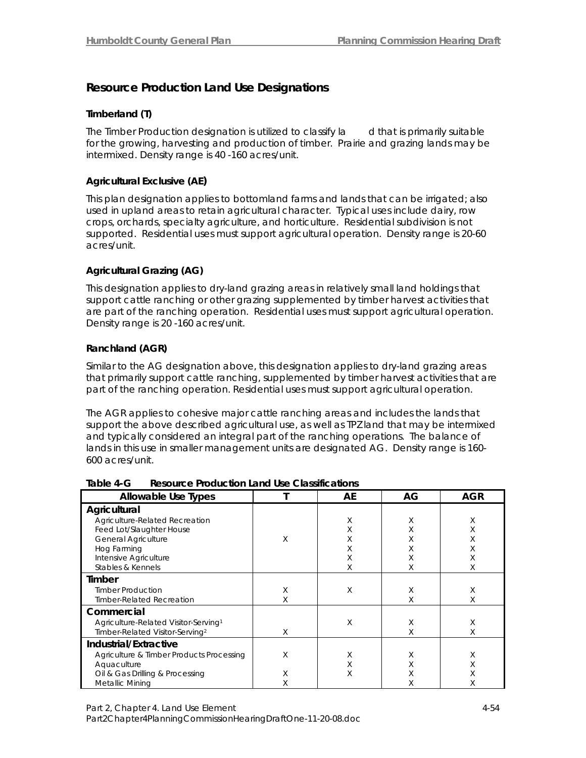## *Resource Production Land Use Designations*

### *Timberland (T)*

The Timber Production designation is utilized to classify la d that is primarily suitable for the growing, harvesting and production of timber. Prairie and grazing lands may be intermixed. Density range is 40 -160 acres/unit.

### *Agricultural Exclusive (AE)*

This plan designation applies to bottomland farms and lands that can be irrigated; also used in upland areas to retain agricultural character. Typical uses include dairy, row crops, orchards, specialty agriculture, and horticulture. Residential subdivision is not supported. Residential uses must support agricultural operation. Density range is 20-60 acres/unit.

### *Agricultural Grazing (AG)*

This designation applies to dry-land grazing areas in relatively small land holdings that support cattle ranching or other grazing supplemented by timber harvest activities that are part of the ranching operation. Residential uses must support agricultural operation. Density range is 20 -160 acres/unit.

### *Ranchland (AGR)*

Similar to the AG designation above, this designation applies to dry-land grazing areas that primarily support cattle ranching, supplemented by timber harvest activities that are part of the ranching operation. Residential uses must support agricultural operation.

The AGR applies to cohesive major cattle ranching areas and includes the lands that support the above described agricultural use, as well as TPZ land that may be intermixed and typically considered an integral part of the ranching operations. The balance of lands in this use in smaller management units are designated AG. Density range is 160- 600 acres/unit.

| Allowable Use Types                                                                                                                                                   |             | AE          | AG                         | AGR                        |
|-----------------------------------------------------------------------------------------------------------------------------------------------------------------------|-------------|-------------|----------------------------|----------------------------|
| Agricultural<br>Agriculture-Related Recreation<br>Feed Lot/Slaughter House<br><b>General Agriculture</b><br>Hog Farming<br>Intensive Agriculture<br>Stables & Kennels | Χ           | Χ<br>Χ<br>Χ | Χ<br>Χ<br>Χ<br>Χ<br>Χ<br>Χ | Χ<br>Χ<br>Χ<br>Χ<br>Χ<br>Χ |
| Timber<br><b>Timber Production</b><br><b>Timber-Related Recreation</b><br>Commercial                                                                                  | X<br>X      | Χ<br>Χ      | Χ<br>Χ<br>Χ                | Χ<br>Χ<br>Χ                |
| Agriculture-Related Visitor-Serving <sup>1</sup><br>Timber-Related Visitor-Serving <sup>2</sup>                                                                       | X           |             | Χ                          | Χ                          |
| Industrial/Extractive<br>Agriculture & Timber Products Processing<br>Aquaculture<br>Oil & Gas Drilling & Processing<br>Metallic Mining                                | Χ<br>Χ<br>Χ | Χ<br>Χ      | Χ<br>Χ<br>Χ<br>Χ           | Χ<br>Χ                     |

#### **Table 4-G Resource Production Land Use Classifications**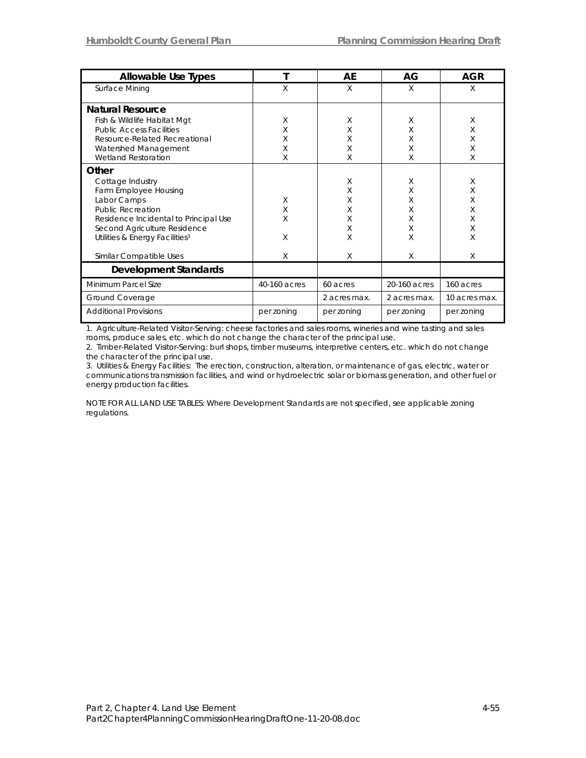| <b>Allowable Use Types</b>                 |              | AE           | AG           | AGR           |
|--------------------------------------------|--------------|--------------|--------------|---------------|
| Surface Mining                             | X            | X            | X            | X             |
| <b>Natural Resource</b>                    |              |              |              |               |
| Fish & Wildlife Habitat Mgt                | Χ            | X            | X            | X             |
| <b>Public Access Facilities</b>            | Χ            | X            | X            | X             |
| Resource-Related Recreational              | Χ            | Χ            | X            | Χ             |
| Watershed Management                       | Χ            | Χ            | Χ            | X             |
| <b>Wetland Restoration</b>                 | Χ            | X            | X            | X             |
| Other                                      |              |              |              |               |
| Cottage Industry                           |              | X            | X            | X             |
| Farm Employee Housing                      |              | X            | X            | X             |
| Labor Camps                                | X            | Χ            | X            | X             |
| <b>Public Recreation</b>                   | X            | Χ            | X            | X             |
| Residence Incidental to Principal Use      | X            | Χ            | X            | X             |
| Second Agriculture Residence               |              | X            | X            | X             |
| Utilities & Energy Facilities <sup>3</sup> | Χ            | Χ            | X            | X             |
| Similar Compatible Uses                    | X            | X            | X            | X             |
| <b>Development Standards</b>               |              |              |              |               |
| Minimum Parcel Size                        | 40-160 acres | 60 acres     | 20-160 acres | 160 acres     |
| Ground Coverage                            |              | 2 acres max. | 2 acres max. | 10 acres max. |
| <b>Additional Provisions</b>               | per zoning   | per zoning   | per zoning   | per zoning    |

1. Agriculture-Related Visitor-Serving: cheese factories and sales rooms, wineries and wine tasting and sales rooms, produce sales, etc. which do not change the character of the principal use.

2. Timber-Related Visitor-Serving: burl shops, timber museums, interpretive centers, etc. which do not change the character of the principal use.

3. Utilities & Energy Facilities: The erection, construction, alteration, or maintenance of gas, electric, water or communications transmission facilities, and wind or hydroelectric solar or biomass generation, and other fuel or energy production facilities.

NOTE FOR ALL LAND USE TABLES: Where Development Standards are not specified, see applicable zoning regulations.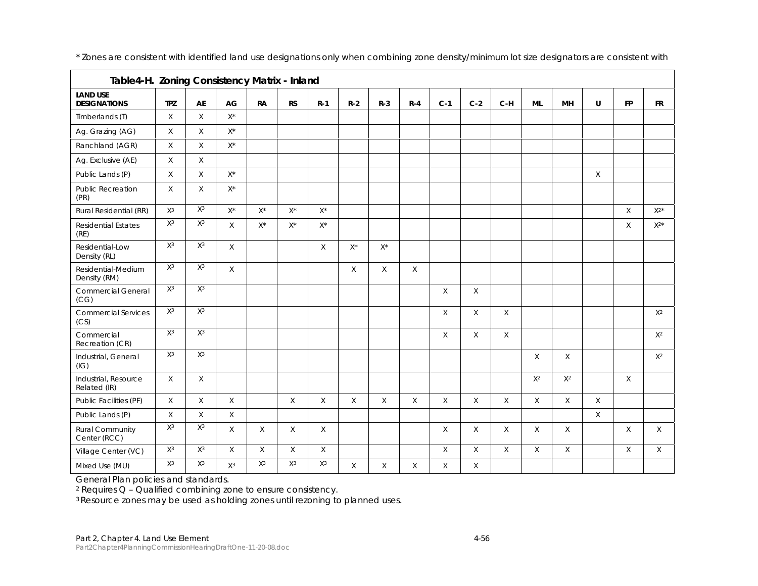| Table4-H. Zoning Consistency Matrix - Inland |             |       |                    |                    |                    |                    |              |                    |              |          |          |          |           |             |          |              |           |
|----------------------------------------------|-------------|-------|--------------------|--------------------|--------------------|--------------------|--------------|--------------------|--------------|----------|----------|----------|-----------|-------------|----------|--------------|-----------|
| <b>LAND USE</b><br><b>DESIGNATIONS</b>       | <b>TPZ</b>  | AE    | AG                 | <b>RA</b>          | <b>RS</b>          | $R-1$              | $R-2$        | $R-3$              | $R - 4$      | $C-1$    | $C-2$    | $C-H$    | <b>ML</b> | <b>MH</b>   | U        | <b>FP</b>    | <b>FR</b> |
| Timberlands (T)                              | $\mathsf X$ | X     | $X^*$              |                    |                    |                    |              |                    |              |          |          |          |           |             |          |              |           |
| Ag. Grazing (AG)                             | $\chi$      | X     | $\mathsf{X}^\star$ |                    |                    |                    |              |                    |              |          |          |          |           |             |          |              |           |
| Ranchland (AGR)                              | $\mathsf X$ | X     | $\mathsf{X}^\star$ |                    |                    |                    |              |                    |              |          |          |          |           |             |          |              |           |
| Ag. Exclusive (AE)                           | $\mathsf X$ | X     |                    |                    |                    |                    |              |                    |              |          |          |          |           |             |          |              |           |
| Public Lands (P)                             | $\mathsf X$ | X     | $X^*$              |                    |                    |                    |              |                    |              |          |          |          |           |             | $\chi$   |              |           |
| Public Recreation<br>(PR)                    | X           | X     | $\mathsf{X}^\star$ |                    |                    |                    |              |                    |              |          |          |          |           |             |          |              |           |
| Rural Residential (RR)                       | $X^3$       | $X^3$ | $\mathsf{X}^\star$ | $\mathsf{X}^\star$ | $\mathsf{X}^\star$ | $\mathsf{X}^\star$ |              |                    |              |          |          |          |           |             |          | $\mathsf{X}$ | $X^{2*}$  |
| <b>Residential Estates</b><br>(RE)           | $X^3$       | $X^3$ | $\mathsf X$        | $\mathsf{X}^\star$ | $X^*$              | $\mathsf{X}^\star$ |              |                    |              |          |          |          |           |             |          | X            | $X^{2*}$  |
| Residential-Low<br>Density (RL)              | $X^3$       | $X^3$ | $\times$           |                    |                    | $\times$           | $X^*$        | $\mathsf{X}^\star$ |              |          |          |          |           |             |          |              |           |
| Residential-Medium<br>Density (RM)           | $X^3$       | $X^3$ | $\times$           |                    |                    |                    | X            | $\chi$             | X            |          |          |          |           |             |          |              |           |
| <b>Commercial General</b><br>(CG)            | $X^3$       | $X^3$ |                    |                    |                    |                    |              |                    |              | $\times$ | $\times$ |          |           |             |          |              |           |
| <b>Commercial Services</b><br>(CS)           | $X^3$       | $X^3$ |                    |                    |                    |                    |              |                    |              | $\times$ | $\times$ | X        |           |             |          |              | $X^2$     |
| Commercial<br>Recreation (CR)                | $X^3$       | $X^3$ |                    |                    |                    |                    |              |                    |              | X        | $\times$ | X        |           |             |          |              | $X^2$     |
| Industrial, General<br>(IG)                  | $X^3$       | $X^3$ |                    |                    |                    |                    |              |                    |              |          |          |          | X         | $\times$    |          |              | $X^2$     |
| Industrial, Resource<br>Related (IR)         | X           | X     |                    |                    |                    |                    |              |                    |              |          |          |          | $X^2$     | $X^2$       |          | X            |           |
| Public Facilities (PF)                       | X           | X     | $\times$           |                    | $\chi$             | X                  | $\mathsf{X}$ | X                  | $\mathsf{X}$ | X        | X        | X        | X         | $\mathsf X$ | $\times$ |              |           |
| Public Lands (P)                             | $\mathsf X$ | X     | $\mathsf X$        |                    |                    |                    |              |                    |              |          |          |          |           |             | $\times$ |              |           |
| Rural Community<br>Center (RCC)              | $X^3$       | $X^3$ | $\times$           | $\times$           | $\times$           | $\chi$             |              |                    |              | X        | $\times$ | $\times$ | $\times$  | $\times$    |          | $\times$     | $\times$  |
| Village Center (VC)                          | $X^3$       | $X^3$ | $\times$           | $\times$           | $\mathsf X$        | X                  |              |                    |              | X        | $\times$ | $\chi$   | $\times$  | $\times$    |          | X            | $\times$  |
| Mixed Use (MU)                               | $X^3$       | $X^3$ | $X^3$              | $X^3$              | $X^3$              | $\mathsf{X}^3$     | $\times$     | $\chi$             | X            | X        | X        |          |           |             |          |              |           |

\* Zones are consistent with identified land use designations only when combining zone density/minimum lot size designators are consistent with

General Plan policies and standards.

2 Requires Q – Qualified combining zone to ensure consistency.

<sup>3</sup> Resource zones may be used as holding zones until rezoning to planned uses.